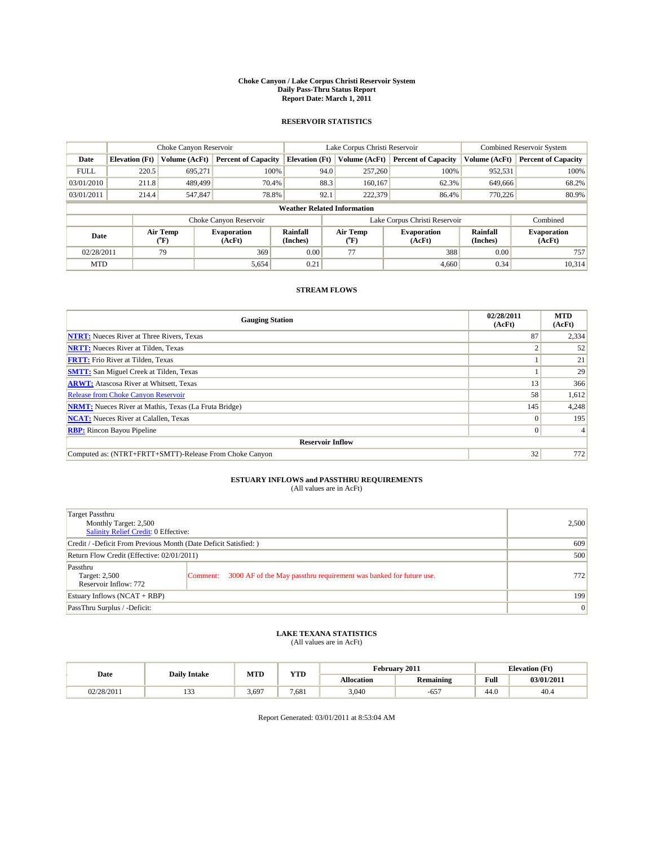#### **Choke Canyon / Lake Corpus Christi Reservoir System Daily Pass-Thru Status Report Report Date: March 1, 2011**

### **RESERVOIR STATISTICS**

|             | Choke Canyon Reservoir             |                                           |                              |                             | Lake Corpus Christi Reservoir | <b>Combined Reservoir System</b> |                      |                              |  |  |
|-------------|------------------------------------|-------------------------------------------|------------------------------|-----------------------------|-------------------------------|----------------------------------|----------------------|------------------------------|--|--|
| Date        | <b>Elevation</b> (Ft)              | Volume (AcFt)                             | <b>Percent of Capacity</b>   | <b>Elevation</b> (Ft)       | Volume (AcFt)                 | <b>Percent of Capacity</b>       | Volume (AcFt)        | <b>Percent of Capacity</b>   |  |  |
| <b>FULL</b> | 220.5                              | 695,271                                   | 100%                         | 94.0                        | 257,260                       | 100%                             | 952,531              | 100%                         |  |  |
| 03/01/2010  | 211.8                              | 489.499                                   | 70.4%                        | 88.3                        | 160,167                       | 62.3%                            | 649,666              | 68.2%                        |  |  |
| 03/01/2011  | 214.4                              | 547,847                                   | 78.8%                        | 92.1                        | 222,379                       | 86.4%                            | 770.226              | 80.9%                        |  |  |
|             | <b>Weather Related Information</b> |                                           |                              |                             |                               |                                  |                      |                              |  |  |
|             |                                    |                                           | Choke Canyon Reservoir       |                             |                               | Lake Corpus Christi Reservoir    |                      | Combined                     |  |  |
| Date        |                                    | Air Temp<br>$({}^{\mathrm{o}}\mathrm{F})$ | <b>Evaporation</b><br>(AcFt) | <b>Rainfall</b><br>(Inches) | Air Temp<br>(°F)              | <b>Evaporation</b><br>(AcFt)     | Rainfall<br>(Inches) | <b>Evaporation</b><br>(AcFt) |  |  |
| 02/28/2011  |                                    | 79                                        | 369                          | 0.00                        | 77                            | 388                              | 0.00                 | 757                          |  |  |
| <b>MTD</b>  |                                    |                                           | 5,654                        | 0.21                        |                               | 4.660                            | 0.34                 | 10,314                       |  |  |

### **STREAM FLOWS**

| <b>Gauging Station</b>                                       | 02/28/2011<br>(AcFt) | <b>MTD</b><br>(AcFt) |
|--------------------------------------------------------------|----------------------|----------------------|
| <b>NTRT:</b> Nueces River at Three Rivers, Texas             | 87                   | 2,334                |
| <b>NRTT:</b> Nueces River at Tilden, Texas                   |                      | 52                   |
| <b>FRTT:</b> Frio River at Tilden, Texas                     |                      | 21                   |
| <b>SMTT:</b> San Miguel Creek at Tilden, Texas               |                      | 29                   |
| <b>ARWT:</b> Atascosa River at Whitsett, Texas               | 13                   | 366                  |
| <b>Release from Choke Canyon Reservoir</b>                   | 58                   | 1,612                |
| <b>NRMT:</b> Nueces River at Mathis, Texas (La Fruta Bridge) | 145                  | 4,248                |
| <b>NCAT:</b> Nueces River at Calallen, Texas                 | $\Omega$             | 195                  |
| <b>RBP:</b> Rincon Bayou Pipeline                            | $\overline{0}$       |                      |
| <b>Reservoir Inflow</b>                                      |                      |                      |
| Computed as: (NTRT+FRTT+SMTT)-Release From Choke Canyon      | 32                   | 772                  |

# **ESTUARY INFLOWS and PASSTHRU REQUIREMENTS**<br>(All values are in AcFt)

| Target Passthru<br>Monthly Target: 2,500<br>Salinity Relief Credit: 0 Effective: |                                                                                | 2,500 |
|----------------------------------------------------------------------------------|--------------------------------------------------------------------------------|-------|
| Credit / -Deficit From Previous Month (Date Deficit Satisfied: )                 | 609                                                                            |       |
| Return Flow Credit (Effective: 02/01/2011)                                       | 500                                                                            |       |
| Passthru<br>Target: 2,500<br>Reservoir Inflow: 772                               | 3000 AF of the May passthru requirement was banked for future use.<br>Comment: | 772   |
| Estuary Inflows (NCAT + RBP)                                                     |                                                                                | 199   |
| PassThru Surplus / -Deficit:                                                     |                                                                                | 0     |

## **LAKE TEXANA STATISTICS** (All values are in AcFt)

|            | <b>Daily Intake</b> | <b>MTD</b> | <b>YTD</b> | February 2011     |                  |      | <b>Elevation</b> (Ft) |
|------------|---------------------|------------|------------|-------------------|------------------|------|-----------------------|
| Date       |                     |            |            | <b>Allocation</b> | <b>Remaining</b> | Full | 03/01/2011            |
| 02/28/2011 | $\sim$<br>ر ر د     | 3.697      | 7.681      | 3,040             | ---<br>-65       | 44.0 | 40.4                  |

Report Generated: 03/01/2011 at 8:53:04 AM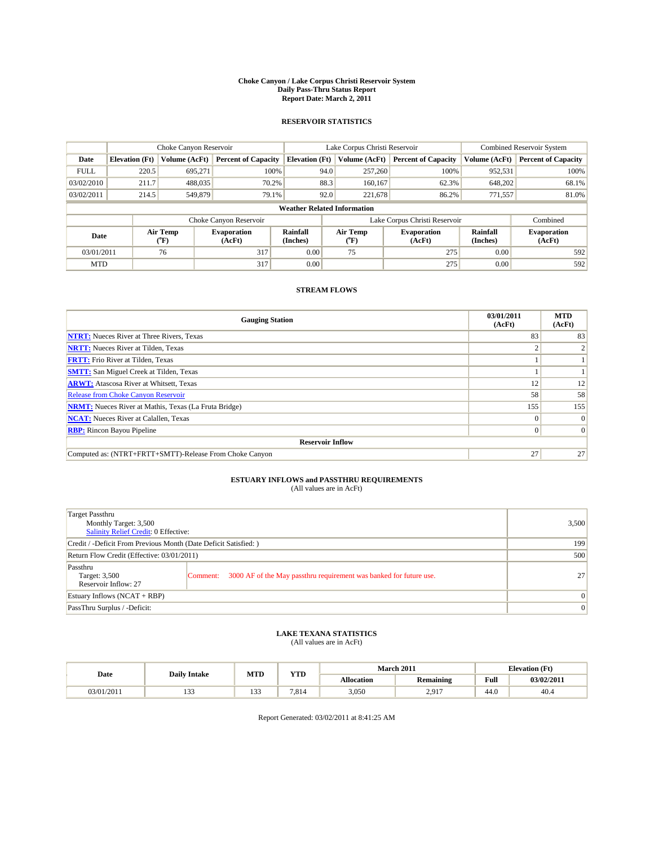#### **Choke Canyon / Lake Corpus Christi Reservoir System Daily Pass-Thru Status Report Report Date: March 2, 2011**

### **RESERVOIR STATISTICS**

|             | Choke Canyon Reservoir             |                  |                              |                             | Lake Corpus Christi Reservoir | <b>Combined Reservoir System</b> |                      |                              |  |  |
|-------------|------------------------------------|------------------|------------------------------|-----------------------------|-------------------------------|----------------------------------|----------------------|------------------------------|--|--|
| Date        | <b>Elevation</b> (Ft)              | Volume (AcFt)    | <b>Percent of Capacity</b>   | <b>Elevation</b> (Ft)       | Volume (AcFt)                 | <b>Percent of Capacity</b>       | Volume (AcFt)        | <b>Percent of Capacity</b>   |  |  |
| <b>FULL</b> | 220.5                              | 695,271          | 100%                         | 94.0                        | 257,260                       | 100%                             | 952,531              | 100%                         |  |  |
| 03/02/2010  | 211.7                              | 488,035          | 70.2%                        | 88.3                        | 160,167                       | 62.3%                            | 648,202              | 68.1%                        |  |  |
| 03/02/2011  | 214.5                              | 549,879          | 79.1%                        | 92.0                        | 221,678                       | 86.2%                            | 771,557              | 81.0%                        |  |  |
|             | <b>Weather Related Information</b> |                  |                              |                             |                               |                                  |                      |                              |  |  |
|             |                                    |                  | Choke Canyon Reservoir       |                             |                               | Lake Corpus Christi Reservoir    |                      | Combined                     |  |  |
| Date        |                                    | Air Temp<br>(°F) | <b>Evaporation</b><br>(AcFt) | <b>Rainfall</b><br>(Inches) | Air Temp<br>(°F)              | <b>Evaporation</b><br>(AcFt)     | Rainfall<br>(Inches) | <b>Evaporation</b><br>(AcFt) |  |  |
| 03/01/2011  |                                    | 76               | 317                          | 0.00                        | 75                            | 275                              | 0.00                 | 592                          |  |  |
| <b>MTD</b>  |                                    |                  | 317                          | 0.00                        |                               | 275                              | 0.00                 | 592                          |  |  |

### **STREAM FLOWS**

| <b>Gauging Station</b>                                       | 03/01/2011<br>(AcFt) | <b>MTD</b><br>(AcFt) |
|--------------------------------------------------------------|----------------------|----------------------|
| <b>NTRT:</b> Nueces River at Three Rivers, Texas             | 83                   | 83                   |
| <b>NRTT:</b> Nueces River at Tilden, Texas                   |                      |                      |
| <b>FRTT:</b> Frio River at Tilden, Texas                     |                      |                      |
| <b>SMTT:</b> San Miguel Creek at Tilden, Texas               |                      |                      |
| <b>ARWT:</b> Atascosa River at Whitsett, Texas               | 12                   | 12                   |
| <b>Release from Choke Canyon Reservoir</b>                   | 58                   | 58                   |
| <b>NRMT:</b> Nueces River at Mathis, Texas (La Fruta Bridge) | 155                  | 155                  |
| <b>NCAT:</b> Nueces River at Calallen, Texas                 | $\Omega$             | $\Omega$             |
| <b>RBP:</b> Rincon Bayou Pipeline                            | $\Omega$             | $\Omega$             |
| <b>Reservoir Inflow</b>                                      |                      |                      |
| Computed as: (NTRT+FRTT+SMTT)-Release From Choke Canyon      | 27                   | 27                   |

# **ESTUARY INFLOWS and PASSTHRU REQUIREMENTS**<br>(All values are in AcFt)

| Target Passthru<br>Monthly Target: 3,500<br>Salinity Relief Credit: 0 Effective: |                                                                                | 3,500           |
|----------------------------------------------------------------------------------|--------------------------------------------------------------------------------|-----------------|
| Credit / -Deficit From Previous Month (Date Deficit Satisfied: )                 | 199                                                                            |                 |
| Return Flow Credit (Effective: 03/01/2011)                                       | 500                                                                            |                 |
| Passthru<br>Target: 3,500<br>Reservoir Inflow: 27                                | 3000 AF of the May passthru requirement was banked for future use.<br>Comment: | 27              |
| Estuary Inflows (NCAT + RBP)                                                     |                                                                                | $\vert 0 \vert$ |
| PassThru Surplus / -Deficit:                                                     |                                                                                | $\vert 0 \vert$ |

## **LAKE TEXANA STATISTICS** (All values are in AcFt)

|            | <b>Daily Intake</b> | MTD               | VTD<br>1 I.D | <b>March 2011</b><br><b>Elevation</b> (Ft) |                     |                                         |            |
|------------|---------------------|-------------------|--------------|--------------------------------------------|---------------------|-----------------------------------------|------------|
| Date       |                     |                   |              | <b>Allocation</b>                          | <b>Remaining</b>    | Full<br>the contract of the contract of | 03/02/2011 |
| 03/01/2011 | $\sim$<br>.         | $\sim$<br>$1.3 -$ | 7.814        | 3,050                                      | 2917<br>$\sqrt{21}$ | 44.0                                    | 40.4       |

Report Generated: 03/02/2011 at 8:41:25 AM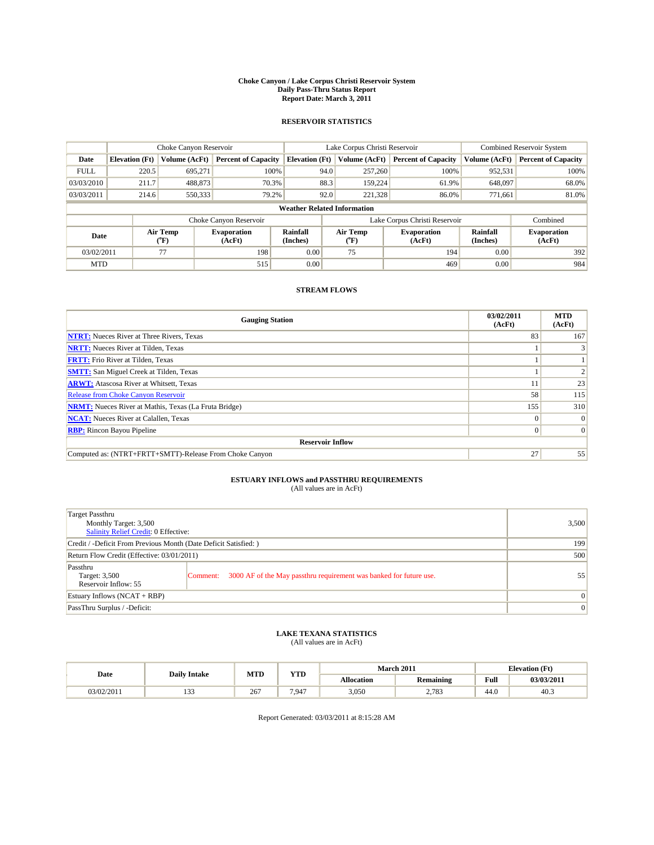#### **Choke Canyon / Lake Corpus Christi Reservoir System Daily Pass-Thru Status Report Report Date: March 3, 2011**

### **RESERVOIR STATISTICS**

|             | Choke Canyon Reservoir             |                                           |                              |                       | Lake Corpus Christi Reservoir | <b>Combined Reservoir System</b> |                      |                              |  |
|-------------|------------------------------------|-------------------------------------------|------------------------------|-----------------------|-------------------------------|----------------------------------|----------------------|------------------------------|--|
| Date        | <b>Elevation</b> (Ft)              | Volume (AcFt)                             | <b>Percent of Capacity</b>   | <b>Elevation</b> (Ft) | Volume (AcFt)                 | <b>Percent of Capacity</b>       | Volume (AcFt)        | <b>Percent of Capacity</b>   |  |
| <b>FULL</b> | 220.5                              | 695.271                                   | 100%                         | 94.0                  | 257,260                       | 100%                             | 952,531              | 100%                         |  |
| 03/03/2010  | 211.7                              | 488,873                                   | 70.3%                        | 88.3                  | 159,224                       | 61.9%                            | 648,097              | 68.0%                        |  |
| 03/03/2011  | 214.6                              | 550,333                                   | 79.2%                        | 92.0                  | 221,328                       | 86.0%                            | 771.661              | 81.0%                        |  |
|             | <b>Weather Related Information</b> |                                           |                              |                       |                               |                                  |                      |                              |  |
|             |                                    |                                           | Choke Canyon Reservoir       |                       |                               | Lake Corpus Christi Reservoir    |                      | Combined                     |  |
| Date        |                                    | Air Temp<br>$({}^{\mathrm{o}}\mathrm{F})$ | <b>Evaporation</b><br>(AcFt) | Rainfall<br>(Inches)  | Air Temp<br>(°F)              | <b>Evaporation</b><br>(AcFt)     | Rainfall<br>(Inches) | <b>Evaporation</b><br>(AcFt) |  |
| 03/02/2011  |                                    | 77                                        | 198                          | 0.00                  | 75                            | 194                              | 0.00                 | 392                          |  |
| <b>MTD</b>  |                                    |                                           | 515                          | 0.00                  |                               | 469                              | 0.00                 | 984                          |  |

### **STREAM FLOWS**

| <b>Gauging Station</b>                                       | 03/02/2011<br>(AcFt) | <b>MTD</b><br>(AcFt) |
|--------------------------------------------------------------|----------------------|----------------------|
| <b>NTRT:</b> Nueces River at Three Rivers, Texas             | 83                   | 167                  |
| <b>NRTT:</b> Nueces River at Tilden, Texas                   |                      |                      |
| <b>FRTT:</b> Frio River at Tilden, Texas                     |                      |                      |
| <b>SMTT:</b> San Miguel Creek at Tilden, Texas               |                      |                      |
| <b>ARWT:</b> Atascosa River at Whitsett, Texas               |                      | 23                   |
| <b>Release from Choke Canyon Reservoir</b>                   | 58                   | 115                  |
| <b>NRMT:</b> Nueces River at Mathis, Texas (La Fruta Bridge) | 155                  | 310                  |
| <b>NCAT:</b> Nueces River at Calallen, Texas                 | $\Omega$             | $\Omega$             |
| <b>RBP:</b> Rincon Bayou Pipeline                            | $\Omega$             | $\Omega$             |
| <b>Reservoir Inflow</b>                                      |                      |                      |
| Computed as: (NTRT+FRTT+SMTT)-Release From Choke Canyon      | 27                   | 55                   |

# **ESTUARY INFLOWS and PASSTHRU REQUIREMENTS**<br>(All values are in AcFt)

| Target Passthru<br>Monthly Target: 3,500<br>Salinity Relief Credit: 0 Effective: |                                                                                | 3,500           |
|----------------------------------------------------------------------------------|--------------------------------------------------------------------------------|-----------------|
| Credit / -Deficit From Previous Month (Date Deficit Satisfied: )                 | 199                                                                            |                 |
| Return Flow Credit (Effective: 03/01/2011)                                       | 500                                                                            |                 |
| Passthru<br>Target: 3,500<br>Reservoir Inflow: 55                                | 3000 AF of the May passthru requirement was banked for future use.<br>Comment: | 55              |
| Estuary Inflows (NCAT + RBP)                                                     |                                                                                | $\vert 0 \vert$ |
| PassThru Surplus / -Deficit:                                                     |                                                                                | $\vert 0 \vert$ |

## **LAKE TEXANA STATISTICS** (All values are in AcFt)

|            | <b>Daily Intake</b> | MTD | VTD<br>1 I.D | <b>March 2011</b><br><b>Elevation</b> (Ft) |                  |                                         |            |
|------------|---------------------|-----|--------------|--------------------------------------------|------------------|-----------------------------------------|------------|
| Date       |                     |     |              | <b>Allocation</b>                          | <b>Remaining</b> | Full<br>the contract of the contract of | 03/03/2011 |
| 03/02/2011 | $\sim$<br>.         | 267 | 7.947        | 3,050                                      | 2,783            | 44.0                                    | - 40.5     |

Report Generated: 03/03/2011 at 8:15:28 AM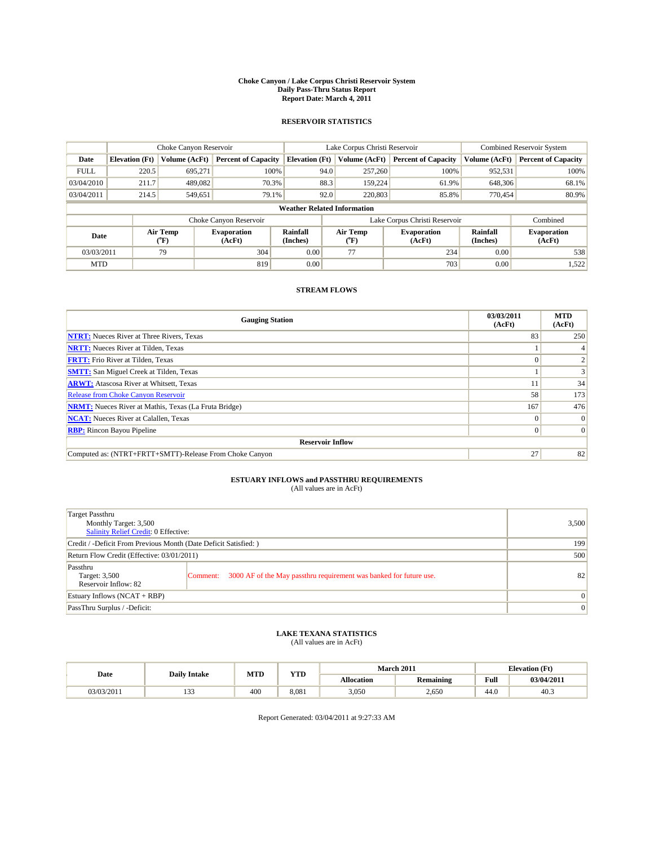#### **Choke Canyon / Lake Corpus Christi Reservoir System Daily Pass-Thru Status Report Report Date: March 4, 2011**

### **RESERVOIR STATISTICS**

|             | Choke Canyon Reservoir             |                  |                              |                             | Lake Corpus Christi Reservoir | <b>Combined Reservoir System</b> |                      |                              |  |  |
|-------------|------------------------------------|------------------|------------------------------|-----------------------------|-------------------------------|----------------------------------|----------------------|------------------------------|--|--|
| Date        | <b>Elevation</b> (Ft)              | Volume (AcFt)    | <b>Percent of Capacity</b>   | <b>Elevation</b> (Ft)       | Volume (AcFt)                 | <b>Percent of Capacity</b>       | Volume (AcFt)        | <b>Percent of Capacity</b>   |  |  |
| <b>FULL</b> | 220.5                              | 695,271          | 100%                         | 94.0                        | 257,260                       | 100%                             | 952,531              | 100%                         |  |  |
| 03/04/2010  | 211.7                              | 489,082          | 70.3%                        | 88.3                        | 159.224                       | 61.9%                            | 648,306              | 68.1%                        |  |  |
| 03/04/2011  | 214.5                              | 549,651          | 79.1%                        | 92.0                        | 220,803                       | 85.8%                            | 770,454              | 80.9%                        |  |  |
|             | <b>Weather Related Information</b> |                  |                              |                             |                               |                                  |                      |                              |  |  |
|             |                                    |                  | Choke Canyon Reservoir       |                             | Lake Corpus Christi Reservoir |                                  |                      | Combined                     |  |  |
| Date        |                                    | Air Temp<br>(°F) | <b>Evaporation</b><br>(AcFt) | <b>Rainfall</b><br>(Inches) | Air Temp<br>(°F)              | <b>Evaporation</b><br>(AcFt)     | Rainfall<br>(Inches) | <b>Evaporation</b><br>(AcFt) |  |  |
| 03/03/2011  |                                    | 79               | 304                          | 0.00                        | 77                            | 234                              | 0.00                 | 538                          |  |  |
| <b>MTD</b>  |                                    |                  | 819                          | 0.00                        |                               | 703                              | 0.00                 | 1,522                        |  |  |

## **STREAM FLOWS**

| <b>Gauging Station</b>                                       | 03/03/2011<br>(AcFt) | <b>MTD</b><br>(AcFt) |
|--------------------------------------------------------------|----------------------|----------------------|
| <b>NTRT:</b> Nueces River at Three Rivers, Texas             | 83                   | 250                  |
| <b>NRTT:</b> Nueces River at Tilden, Texas                   |                      |                      |
| <b>FRTT:</b> Frio River at Tilden, Texas                     |                      |                      |
| <b>SMTT:</b> San Miguel Creek at Tilden, Texas               |                      |                      |
| <b>ARWT:</b> Atascosa River at Whitsett, Texas               |                      | 34                   |
| Release from Choke Canyon Reservoir                          | 58                   | 173                  |
| <b>NRMT:</b> Nueces River at Mathis, Texas (La Fruta Bridge) | 167                  | 476                  |
| <b>NCAT:</b> Nueces River at Calallen, Texas                 | 0                    | $\Omega$             |
| <b>RBP:</b> Rincon Bayou Pipeline                            | $\Omega$             | $\Omega$             |
| <b>Reservoir Inflow</b>                                      |                      |                      |
| Computed as: (NTRT+FRTT+SMTT)-Release From Choke Canyon      | 27                   | 82                   |

# **ESTUARY INFLOWS and PASSTHRU REQUIREMENTS**<br>(All values are in AcFt)

| Target Passthru<br>Monthly Target: 3,500<br>Salinity Relief Credit: 0 Effective: |                                                                                | 3,500           |
|----------------------------------------------------------------------------------|--------------------------------------------------------------------------------|-----------------|
| Credit / -Deficit From Previous Month (Date Deficit Satisfied: )                 | 199                                                                            |                 |
| Return Flow Credit (Effective: 03/01/2011)                                       | 500                                                                            |                 |
| Passthru<br>Target: 3,500<br>Reservoir Inflow: 82                                | 3000 AF of the May passthru requirement was banked for future use.<br>Comment: | 82              |
| Estuary Inflows (NCAT + RBP)                                                     |                                                                                | $\vert 0 \vert$ |
| PassThru Surplus / -Deficit:                                                     | $\vert 0 \vert$                                                                |                 |

## **LAKE TEXANA STATISTICS** (All values are in AcFt)

|            | <b>Daily Intake</b> | MTD | <b>YTD</b> |                   | March 2011       |                                         | <b>Elevation</b> (Ft) |  |
|------------|---------------------|-----|------------|-------------------|------------------|-----------------------------------------|-----------------------|--|
| Date       |                     |     |            | <b>Allocation</b> | <b>Remaining</b> | Full<br>the contract of the contract of | 03/04/2011            |  |
| 03/03/2011 | $\sim$<br>.         | 400 | 8.081      | 3,050             | 2,650            | 44.0                                    | 40.5                  |  |

Report Generated: 03/04/2011 at 9:27:33 AM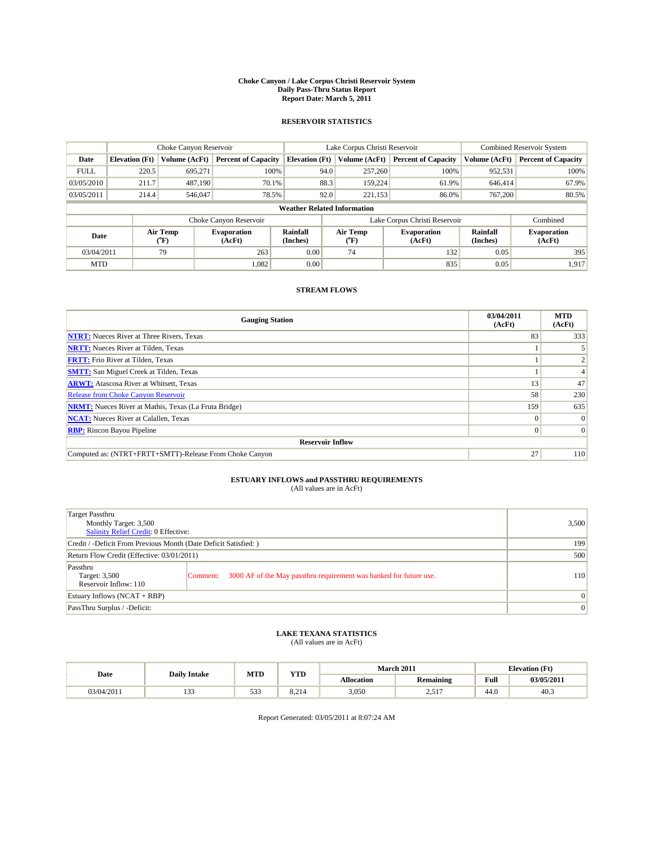#### **Choke Canyon / Lake Corpus Christi Reservoir System Daily Pass-Thru Status Report Report Date: March 5, 2011**

### **RESERVOIR STATISTICS**

|             | Choke Canyon Reservoir             |                  |                              |                             | Lake Corpus Christi Reservoir | <b>Combined Reservoir System</b> |                      |                              |  |  |
|-------------|------------------------------------|------------------|------------------------------|-----------------------------|-------------------------------|----------------------------------|----------------------|------------------------------|--|--|
| Date        | <b>Elevation</b> (Ft)              | Volume (AcFt)    | <b>Percent of Capacity</b>   | <b>Elevation</b> (Ft)       | Volume (AcFt)                 | <b>Percent of Capacity</b>       | Volume (AcFt)        | <b>Percent of Capacity</b>   |  |  |
| <b>FULL</b> | 220.5                              | 695,271          | 100%                         | 94.0                        | 257,260                       | 100%                             | 952,531              | 100%                         |  |  |
| 03/05/2010  | 211.7                              | 487.190          | 70.1%                        | 88.3                        | 159,224                       | 61.9%                            | 646,414              | 67.9%                        |  |  |
| 03/05/2011  | 214.4                              | 546,047          | 78.5%                        | 92.0                        | 221,153                       | 86.0%                            | 767,200              | 80.5%                        |  |  |
|             | <b>Weather Related Information</b> |                  |                              |                             |                               |                                  |                      |                              |  |  |
|             |                                    |                  | Choke Canyon Reservoir       |                             | Lake Corpus Christi Reservoir |                                  |                      | Combined                     |  |  |
| Date        |                                    | Air Temp<br>(°F) | <b>Evaporation</b><br>(AcFt) | <b>Rainfall</b><br>(Inches) | Air Temp<br>(°F)              | <b>Evaporation</b><br>(AcFt)     | Rainfall<br>(Inches) | <b>Evaporation</b><br>(AcFt) |  |  |
| 03/04/2011  |                                    | 79               | 263                          | 0.00                        | 74                            | 132                              | 0.05                 | 395                          |  |  |
| <b>MTD</b>  |                                    |                  | 1,082                        | 0.00                        |                               | 835                              | 0.05                 | 1.917                        |  |  |

## **STREAM FLOWS**

| <b>Gauging Station</b>                                       | 03/04/2011<br>(AcFt) | <b>MTD</b><br>(AcFt) |
|--------------------------------------------------------------|----------------------|----------------------|
| <b>NTRT:</b> Nueces River at Three Rivers, Texas             | 83                   | 333                  |
| <b>NRTT:</b> Nueces River at Tilden, Texas                   |                      |                      |
| <b>FRTT:</b> Frio River at Tilden, Texas                     |                      |                      |
| <b>SMTT:</b> San Miguel Creek at Tilden, Texas               |                      |                      |
| <b>ARWT:</b> Atascosa River at Whitsett, Texas               | 13                   | 47                   |
| Release from Choke Canyon Reservoir                          | 58                   | 230                  |
| <b>NRMT:</b> Nueces River at Mathis, Texas (La Fruta Bridge) | 159                  | 635                  |
| <b>NCAT:</b> Nueces River at Calallen, Texas                 | $\Omega$             | $\Omega$             |
| <b>RBP:</b> Rincon Bayou Pipeline                            | $\Omega$             | $\Omega$             |
| <b>Reservoir Inflow</b>                                      |                      |                      |
| Computed as: (NTRT+FRTT+SMTT)-Release From Choke Canyon      | 27                   | 110                  |

# **ESTUARY INFLOWS and PASSTHRU REQUIREMENTS**<br>(All values are in AcFt)

| Target Passthru<br>Monthly Target: 3,500<br>Salinity Relief Credit: 0 Effective: |                                                                                | 3,500           |
|----------------------------------------------------------------------------------|--------------------------------------------------------------------------------|-----------------|
| Credit / -Deficit From Previous Month (Date Deficit Satisfied: )                 | 199                                                                            |                 |
| Return Flow Credit (Effective: 03/01/2011)                                       | 500                                                                            |                 |
| Passthru<br>Target: 3,500<br>Reservoir Inflow: 110                               | 3000 AF of the May passthru requirement was banked for future use.<br>Comment: | 110             |
| Estuary Inflows (NCAT + RBP)                                                     |                                                                                | $\vert 0 \vert$ |
| PassThru Surplus / -Deficit:                                                     | $\vert 0 \vert$                                                                |                 |

## **LAKE TEXANA STATISTICS** (All values are in AcFt)

|            | <b>Daily Intake</b> | <b>MTD</b> | <b>YTD</b>           | <b>March 2011</b> |                    | <b>Elevation</b> (Ft) |            |
|------------|---------------------|------------|----------------------|-------------------|--------------------|-----------------------|------------|
| Date       |                     |            |                      | <b>Allocation</b> | <b>Remaining</b>   | Full                  | 03/05/2011 |
| 03/04/2011 | $\sim$<br>1 J J     | 533        | ×.<br>ູບ ຕາ<br>8.ZI4 | 3,050             | 517<br>. تەرىپ سىر | 44.0                  | 40.3       |

Report Generated: 03/05/2011 at 8:07:24 AM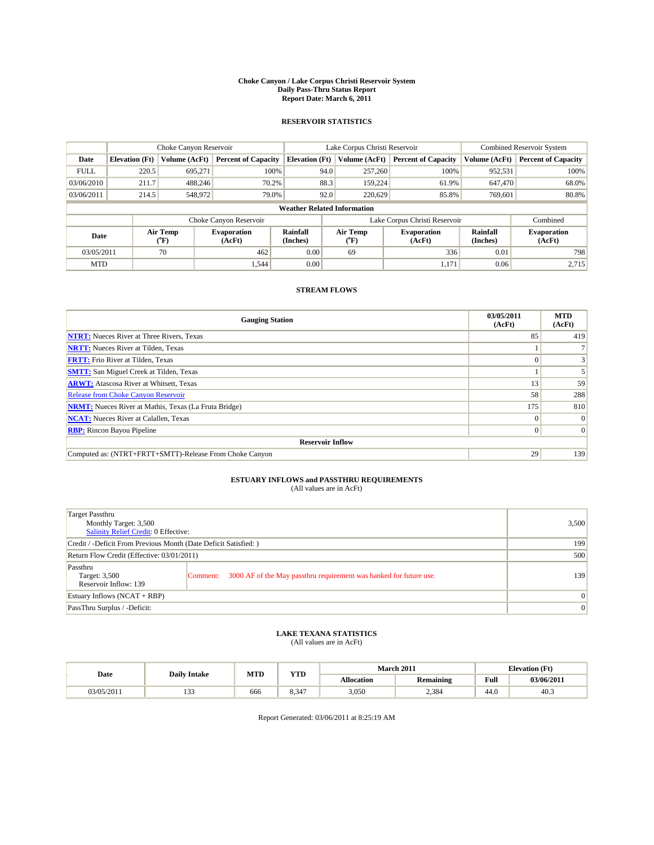#### **Choke Canyon / Lake Corpus Christi Reservoir System Daily Pass-Thru Status Report Report Date: March 6, 2011**

### **RESERVOIR STATISTICS**

|             | Choke Canyon Reservoir             |                  |                              |                             | Lake Corpus Christi Reservoir | <b>Combined Reservoir System</b> |                      |                              |  |  |
|-------------|------------------------------------|------------------|------------------------------|-----------------------------|-------------------------------|----------------------------------|----------------------|------------------------------|--|--|
| Date        | <b>Elevation</b> (Ft)              | Volume (AcFt)    | <b>Percent of Capacity</b>   | <b>Elevation</b> (Ft)       | Volume (AcFt)                 | <b>Percent of Capacity</b>       | Volume (AcFt)        | <b>Percent of Capacity</b>   |  |  |
| <b>FULL</b> | 220.5                              | 695,271          | 100%                         | 94.0                        | 257,260                       | 100%                             | 952,531              | 100%                         |  |  |
| 03/06/2010  | 211.7                              | 488.246          | 70.2%                        | 88.3                        | 159.224                       | 61.9%                            | 647,470              | 68.0%                        |  |  |
| 03/06/2011  | 214.5                              | 548,972          | 79.0%                        | 92.0                        | 220,629                       | 85.8%                            | 769,601              | 80.8%                        |  |  |
|             | <b>Weather Related Information</b> |                  |                              |                             |                               |                                  |                      |                              |  |  |
|             |                                    |                  | Choke Canyon Reservoir       |                             | Lake Corpus Christi Reservoir |                                  |                      | Combined                     |  |  |
| Date        |                                    | Air Temp<br>(°F) | <b>Evaporation</b><br>(AcFt) | <b>Rainfall</b><br>(Inches) | Air Temp<br>(°F)              | <b>Evaporation</b><br>(AcFt)     | Rainfall<br>(Inches) | <b>Evaporation</b><br>(AcFt) |  |  |
| 03/05/2011  |                                    | 70               | 462                          | 0.00                        | 69                            | 336                              | 0.01                 | 798                          |  |  |
| <b>MTD</b>  |                                    |                  | 1,544                        | 0.00                        |                               | 1,171                            | 0.06                 | 2.715                        |  |  |

## **STREAM FLOWS**

| <b>Gauging Station</b>                                       | 03/05/2011<br>(AcFt) | <b>MTD</b><br>(AcFt) |
|--------------------------------------------------------------|----------------------|----------------------|
| <b>NTRT:</b> Nueces River at Three Rivers, Texas             | 85                   | 419                  |
| <b>NRTT:</b> Nueces River at Tilden, Texas                   |                      |                      |
| <b>FRTT:</b> Frio River at Tilden, Texas                     |                      |                      |
| <b>SMTT:</b> San Miguel Creek at Tilden, Texas               |                      |                      |
| <b>ARWT:</b> Atascosa River at Whitsett, Texas               | 13                   | 59                   |
| Release from Choke Canyon Reservoir                          | 58                   | 288                  |
| <b>NRMT:</b> Nueces River at Mathis, Texas (La Fruta Bridge) | 175                  | 810                  |
| <b>NCAT:</b> Nueces River at Calallen, Texas                 | $\Omega$             | $\Omega$             |
| <b>RBP:</b> Rincon Bayou Pipeline                            | $\Omega$             | $\Omega$             |
| <b>Reservoir Inflow</b>                                      |                      |                      |
| Computed as: (NTRT+FRTT+SMTT)-Release From Choke Canyon      | 29                   | 139                  |

# **ESTUARY INFLOWS and PASSTHRU REQUIREMENTS**<br>(All values are in AcFt)

| Target Passthru<br>Monthly Target: 3,500<br>Salinity Relief Credit: 0 Effective: |                                                                                | 3,500           |
|----------------------------------------------------------------------------------|--------------------------------------------------------------------------------|-----------------|
| Credit / -Deficit From Previous Month (Date Deficit Satisfied: )                 | 199                                                                            |                 |
| Return Flow Credit (Effective: 03/01/2011)                                       | 500                                                                            |                 |
| Passthru<br>Target: 3,500<br>Reservoir Inflow: 139                               | 3000 AF of the May passthru requirement was banked for future use.<br>Comment: | 139             |
| Estuary Inflows (NCAT + RBP)                                                     |                                                                                | $\vert 0 \vert$ |
| PassThru Surplus / -Deficit:                                                     | $\vert 0 \vert$                                                                |                 |

## **LAKE TEXANA STATISTICS** (All values are in AcFt)

|            | <b>Daily Intake</b> | <b>MTD</b> | <b>YTD</b>                      |                   | <b>March 2011</b> | <b>Elevation</b> (Ft) |            |
|------------|---------------------|------------|---------------------------------|-------------------|-------------------|-----------------------|------------|
| Date       |                     |            |                                 | <b>Allocation</b> | <b>Remaining</b>  | Full                  | 03/06/2011 |
| 03/05/2011 | $\sim$<br>1 J J     | 666        | $\sim$ $\sim$<br>$\sim$<br>8.34 | 3,050             | 2,384             | 44.0                  | 40.3       |

Report Generated: 03/06/2011 at 8:25:19 AM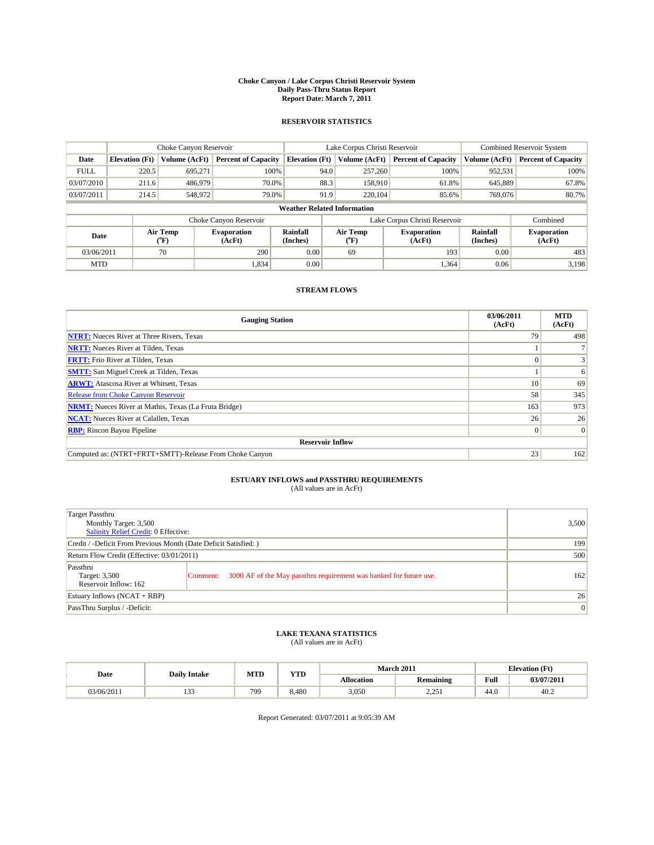#### **Choke Canyon / Lake Corpus Christi Reservoir System Daily Pass-Thru Status Report Report Date: March 7, 2011**

### **RESERVOIR STATISTICS**

|             | Choke Canyon Reservoir             |                  |                              |                             | Lake Corpus Christi Reservoir | <b>Combined Reservoir System</b> |                      |                              |  |
|-------------|------------------------------------|------------------|------------------------------|-----------------------------|-------------------------------|----------------------------------|----------------------|------------------------------|--|
| Date        | <b>Elevation</b> (Ft)              | Volume (AcFt)    | <b>Percent of Capacity</b>   | <b>Elevation</b> (Ft)       | Volume (AcFt)                 | <b>Percent of Capacity</b>       | Volume (AcFt)        | <b>Percent of Capacity</b>   |  |
| <b>FULL</b> | 220.5                              | 695,271          | 100%                         | 94.0                        | 257,260                       | 100%                             | 952,531              | 100%                         |  |
| 03/07/2010  | 211.6                              | 486,979          | 70.0%                        |                             | 88.3<br>158,910               | 61.8%                            | 645,889              | 67.8%                        |  |
| 03/07/2011  | 214.5                              | 548,972          | 79.0%                        |                             | 91.9<br>220,104               | 85.6%                            | 769,076              | 80.7%                        |  |
|             | <b>Weather Related Information</b> |                  |                              |                             |                               |                                  |                      |                              |  |
|             |                                    |                  | Choke Canyon Reservoir       |                             |                               | Lake Corpus Christi Reservoir    |                      | Combined                     |  |
| Date        |                                    | Air Temp<br>(°F) | <b>Evaporation</b><br>(AcFt) | <b>Rainfall</b><br>(Inches) | Air Temp<br>(°F)              | <b>Evaporation</b><br>(AcFt)     | Rainfall<br>(Inches) | <b>Evaporation</b><br>(AcFt) |  |
| 03/06/2011  |                                    | 70               | 290                          | 0.00                        | 69                            | 193                              | 0.00                 | 483                          |  |
| <b>MTD</b>  |                                    |                  | 1,834                        | 0.00                        |                               | 1,364                            | 0.06                 | 3.198                        |  |

## **STREAM FLOWS**

| <b>Gauging Station</b>                                       | 03/06/2011<br>(AcFt) | <b>MTD</b><br>(AcFt) |
|--------------------------------------------------------------|----------------------|----------------------|
| <b>NTRT:</b> Nueces River at Three Rivers, Texas             | 79                   | 498                  |
| <b>NRTT:</b> Nueces River at Tilden, Texas                   |                      |                      |
| <b>FRTT:</b> Frio River at Tilden, Texas                     |                      |                      |
| <b>SMTT:</b> San Miguel Creek at Tilden, Texas               |                      | 6                    |
| <b>ARWT:</b> Atascosa River at Whitsett, Texas               | 10 <sup>1</sup>      | 69                   |
| Release from Choke Canyon Reservoir                          | 58                   | 345                  |
| <b>NRMT:</b> Nueces River at Mathis, Texas (La Fruta Bridge) | 163                  | 973                  |
| <b>NCAT:</b> Nueces River at Calallen, Texas                 | 26                   | 26                   |
| <b>RBP:</b> Rincon Bayou Pipeline                            | $\overline{0}$       | $\Omega$             |
| <b>Reservoir Inflow</b>                                      |                      |                      |
| Computed as: (NTRT+FRTT+SMTT)-Release From Choke Canyon      | 23                   | 162                  |

# **ESTUARY INFLOWS and PASSTHRU REQUIREMENTS**<br>(All values are in AcFt)

| Target Passthru<br>Monthly Target: 3,500<br>Salinity Relief Credit: 0 Effective: |                                                                                | 3,500           |
|----------------------------------------------------------------------------------|--------------------------------------------------------------------------------|-----------------|
| Credit / -Deficit From Previous Month (Date Deficit Satisfied: )                 | 199                                                                            |                 |
| Return Flow Credit (Effective: 03/01/2011)                                       | 500                                                                            |                 |
| Passthru<br>Target: 3,500<br>Reservoir Inflow: 162                               | 3000 AF of the May passthru requirement was banked for future use.<br>Comment: | 162             |
| Estuary Inflows (NCAT + RBP)                                                     |                                                                                | 26              |
| PassThru Surplus / -Deficit:                                                     |                                                                                | $\vert 0 \vert$ |

## **LAKE TEXANA STATISTICS** (All values are in AcFt)

|            | <b>Daily Intake</b> | MTD | <b>YTD</b> |                   | March 2011          |                                             | <b>Elevation</b> (Ft) |
|------------|---------------------|-----|------------|-------------------|---------------------|---------------------------------------------|-----------------------|
| Date       |                     |     |            | <b>Allocation</b> | <b>Remaining</b>    | Full<br>the contract of the contract of the | 03/07/2011            |
| 03/06/2011 | $\sim$<br>          | 799 | 8.480      | 3,050             | 2.251<br>ا ب سے دیک | 44.0                                        | 40.2                  |

Report Generated: 03/07/2011 at 9:05:39 AM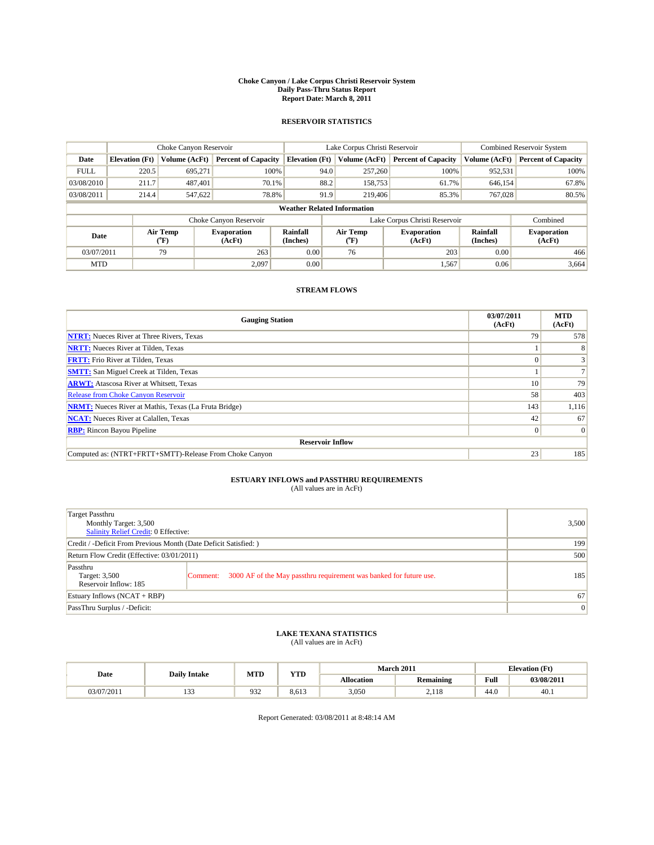#### **Choke Canyon / Lake Corpus Christi Reservoir System Daily Pass-Thru Status Report Report Date: March 8, 2011**

### **RESERVOIR STATISTICS**

|             | Choke Canyon Reservoir             |                                           |                              |                             | Lake Corpus Christi Reservoir |                               |                      | <b>Combined Reservoir System</b> |  |
|-------------|------------------------------------|-------------------------------------------|------------------------------|-----------------------------|-------------------------------|-------------------------------|----------------------|----------------------------------|--|
| Date        | <b>Elevation</b> (Ft)              | Volume (AcFt)                             | <b>Percent of Capacity</b>   | <b>Elevation</b> (Ft)       | Volume (AcFt)                 | <b>Percent of Capacity</b>    | Volume (AcFt)        | <b>Percent of Capacity</b>       |  |
| <b>FULL</b> | 220.5                              | 695,271                                   | 100%                         | 94.0                        | 257,260                       | 100%                          | 952,531              | 100%                             |  |
| 03/08/2010  | 211.7                              | 487.401                                   | 70.1%                        | 88.2                        | 158,753                       | 61.7%                         | 646,154              | 67.8%                            |  |
| 03/08/2011  | 214.4                              | 547,622                                   | 78.8%                        | 91.9                        | 219,406                       | 85.3%                         | 767,028              | 80.5%                            |  |
|             | <b>Weather Related Information</b> |                                           |                              |                             |                               |                               |                      |                                  |  |
|             |                                    |                                           | Choke Canyon Reservoir       |                             |                               | Lake Corpus Christi Reservoir |                      | Combined                         |  |
| Date        |                                    | Air Temp<br>$({}^{\mathrm{o}}\mathrm{F})$ | <b>Evaporation</b><br>(AcFt) | <b>Rainfall</b><br>(Inches) | Air Temp<br>(°F)              | <b>Evaporation</b><br>(AcFt)  | Rainfall<br>(Inches) | <b>Evaporation</b><br>(AcFt)     |  |
| 03/07/2011  |                                    | 79                                        | 263                          | 0.00                        | 76                            | 203                           | 0.00                 | 466                              |  |
| <b>MTD</b>  |                                    |                                           | 2.097                        | 0.00                        |                               | 1,567                         | 0.06                 | 3,664                            |  |

## **STREAM FLOWS**

| <b>Gauging Station</b>                                       | 03/07/2011<br>(AcFt) | <b>MTD</b><br>(AcFt) |
|--------------------------------------------------------------|----------------------|----------------------|
| <b>NTRT:</b> Nueces River at Three Rivers, Texas             | 79                   | 578                  |
| <b>NRTT:</b> Nueces River at Tilden, Texas                   |                      |                      |
| <b>FRTT:</b> Frio River at Tilden, Texas                     |                      |                      |
| <b>SMTT:</b> San Miguel Creek at Tilden, Texas               |                      |                      |
| <b>ARWT:</b> Atascosa River at Whitsett, Texas               | 10 <sup>1</sup>      | 79                   |
| Release from Choke Canyon Reservoir                          | 58                   | 403                  |
| <b>NRMT:</b> Nueces River at Mathis, Texas (La Fruta Bridge) | 143                  | 1,116                |
| <b>NCAT:</b> Nueces River at Calallen, Texas                 | 42                   | 67                   |
| <b>RBP:</b> Rincon Bayou Pipeline                            | $\Omega$             | $\Omega$             |
| <b>Reservoir Inflow</b>                                      |                      |                      |
| Computed as: (NTRT+FRTT+SMTT)-Release From Choke Canyon      | 23                   | 185                  |

# **ESTUARY INFLOWS and PASSTHRU REQUIREMENTS**<br>(All values are in AcFt)

| Target Passthru<br>Monthly Target: 3,500<br>Salinity Relief Credit: 0 Effective: |                                                                                | 3,500           |
|----------------------------------------------------------------------------------|--------------------------------------------------------------------------------|-----------------|
| Credit / -Deficit From Previous Month (Date Deficit Satisfied: )                 | 199                                                                            |                 |
| Return Flow Credit (Effective: 03/01/2011)                                       | 500                                                                            |                 |
| Passthru<br>Target: 3,500<br>Reservoir Inflow: 185                               | 3000 AF of the May passthru requirement was banked for future use.<br>Comment: | 185             |
| Estuary Inflows (NCAT + RBP)                                                     |                                                                                | 67              |
| PassThru Surplus / -Deficit:                                                     |                                                                                | $\vert 0 \vert$ |

## **LAKE TEXANA STATISTICS** (All values are in AcFt)

|            | <b>Daily Intake</b> | MTD | VTD<br>1 I.D |                   | <b>March 2011</b> | <b>Elevation</b> (Ft)                   |            |
|------------|---------------------|-----|--------------|-------------------|-------------------|-----------------------------------------|------------|
| Date       |                     |     |              | <b>Allocation</b> | <b>Remaining</b>  | Full<br>the contract of the contract of | 03/08/2011 |
| 03/07/2011 | $\sim$<br>.         | 932 | 8.613        | 3.050             | 2.118             | 44.0                                    | 40.1       |

Report Generated: 03/08/2011 at 8:48:14 AM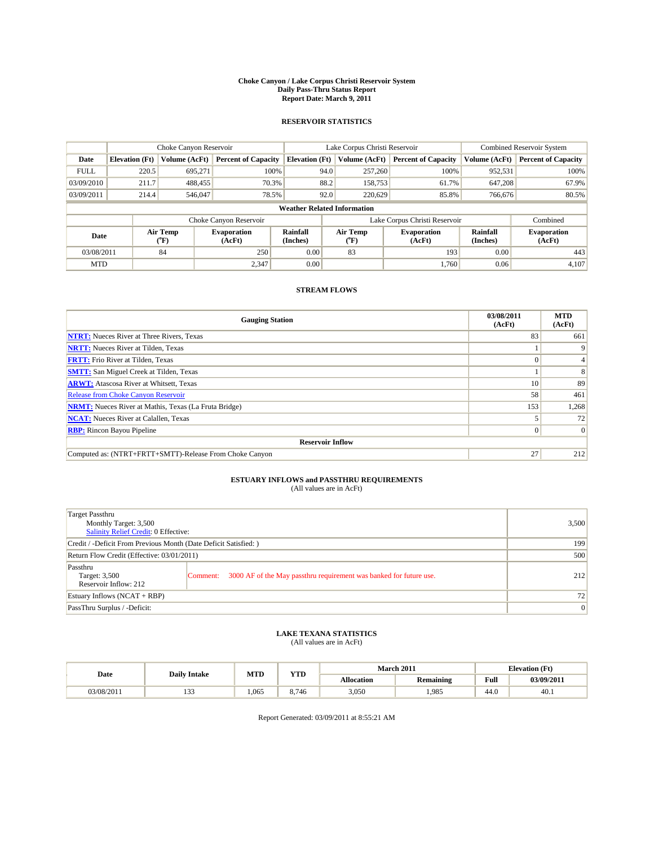#### **Choke Canyon / Lake Corpus Christi Reservoir System Daily Pass-Thru Status Report Report Date: March 9, 2011**

### **RESERVOIR STATISTICS**

|             | Choke Canyon Reservoir             |                  |                              |                             | Lake Corpus Christi Reservoir |                               |                      | Combined Reservoir System    |  |
|-------------|------------------------------------|------------------|------------------------------|-----------------------------|-------------------------------|-------------------------------|----------------------|------------------------------|--|
| Date        | <b>Elevation</b> (Ft)              | Volume (AcFt)    | <b>Percent of Capacity</b>   | <b>Elevation</b> (Ft)       | Volume (AcFt)                 | <b>Percent of Capacity</b>    | Volume (AcFt)        | <b>Percent of Capacity</b>   |  |
| <b>FULL</b> | 220.5                              | 695,271          | 100%                         |                             | 257,260<br>94.0               | 100%                          | 952,531              | 100%                         |  |
| 03/09/2010  | 211.7                              | 488.455          | 70.3%                        | 88.2                        | 158,753                       | 61.7%                         | 647,208              | 67.9%                        |  |
| 03/09/2011  | 214.4                              | 546,047          | 78.5%                        |                             | 92.0<br>220,629               | 85.8%                         | 766,676              | 80.5%                        |  |
|             | <b>Weather Related Information</b> |                  |                              |                             |                               |                               |                      |                              |  |
|             |                                    |                  | Choke Canyon Reservoir       |                             |                               | Lake Corpus Christi Reservoir |                      | Combined                     |  |
| Date        |                                    | Air Temp<br>(°F) | <b>Evaporation</b><br>(AcFt) | <b>Rainfall</b><br>(Inches) | Air Temp<br>(°F)              | <b>Evaporation</b><br>(AcFt)  | Rainfall<br>(Inches) | <b>Evaporation</b><br>(AcFt) |  |
| 03/08/2011  |                                    | 84               | 250                          | 0.00                        | 83                            | 193                           | 0.00                 | 443                          |  |
| <b>MTD</b>  |                                    |                  | 2,347                        | 0.00                        |                               | 1.760                         | 0.06                 | 4,107                        |  |

## **STREAM FLOWS**

| <b>Gauging Station</b>                                       | 03/08/2011<br>(AcFt) | <b>MTD</b><br>(AcFt) |
|--------------------------------------------------------------|----------------------|----------------------|
| <b>NTRT:</b> Nueces River at Three Rivers, Texas             | 83                   | 661                  |
| <b>NRTT:</b> Nueces River at Tilden, Texas                   |                      |                      |
| <b>FRTT:</b> Frio River at Tilden, Texas                     |                      |                      |
| <b>SMTT:</b> San Miguel Creek at Tilden, Texas               |                      | 8                    |
| <b>ARWT:</b> Atascosa River at Whitsett, Texas               | 10 <sup>1</sup>      | 89                   |
| Release from Choke Canyon Reservoir                          | 58                   | 461                  |
| <b>NRMT:</b> Nueces River at Mathis, Texas (La Fruta Bridge) | 153                  | 1,268                |
| <b>NCAT:</b> Nueces River at Calallen, Texas                 |                      | 72                   |
| <b>RBP:</b> Rincon Bayou Pipeline                            | $\Omega$             | $\Omega$             |
| <b>Reservoir Inflow</b>                                      |                      |                      |
| Computed as: (NTRT+FRTT+SMTT)-Release From Choke Canyon      | 27                   | 212                  |

# **ESTUARY INFLOWS and PASSTHRU REQUIREMENTS**<br>(All values are in AcFt)

| Target Passthru<br>Monthly Target: 3,500<br>Salinity Relief Credit: 0 Effective: |                                                                                | 3,500 |
|----------------------------------------------------------------------------------|--------------------------------------------------------------------------------|-------|
| Credit / -Deficit From Previous Month (Date Deficit Satisfied: )                 | 199                                                                            |       |
| Return Flow Credit (Effective: 03/01/2011)                                       | 500                                                                            |       |
| Passthru<br>Target: 3,500<br>Reservoir Inflow: 212                               | 3000 AF of the May passthru requirement was banked for future use.<br>Comment: | 212   |
| Estuary Inflows (NCAT + RBP)                                                     |                                                                                | 72    |
| PassThru Surplus / -Deficit:                                                     |                                                                                | 0     |

## **LAKE TEXANA STATISTICS** (All values are in AcFt)

|            | <b>Daily Intake</b> | MTD   | <b>YTD</b> |                   | <b>March 2011</b> | <b>Elevation</b> (Ft)                       |            |
|------------|---------------------|-------|------------|-------------------|-------------------|---------------------------------------------|------------|
| Date       |                     |       |            | <b>Allocation</b> | <b>Remaining</b>  | Full<br>the contract of the contract of the | 03/09/2011 |
| 03/08/2011 | $\sim$<br>          | 1.065 | 8.746      | 3,050             | 1.985             | 44.0                                        | 40.1       |

Report Generated: 03/09/2011 at 8:55:21 AM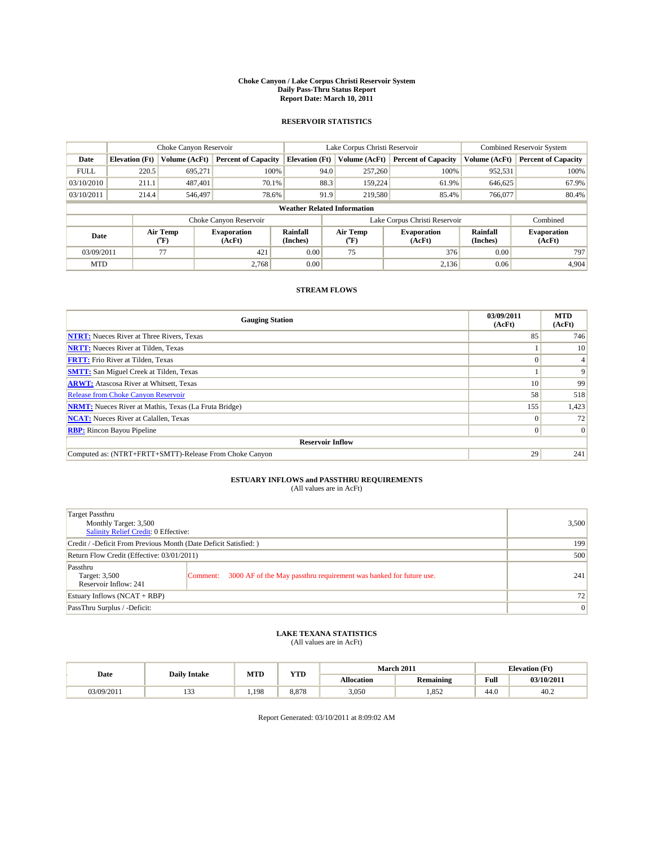#### **Choke Canyon / Lake Corpus Christi Reservoir System Daily Pass-Thru Status Report Report Date: March 10, 2011**

### **RESERVOIR STATISTICS**

|             | Choke Canyon Reservoir             |                  |                              |                       | Lake Corpus Christi Reservoir |         |                               |                      | <b>Combined Reservoir System</b> |  |  |  |
|-------------|------------------------------------|------------------|------------------------------|-----------------------|-------------------------------|---------|-------------------------------|----------------------|----------------------------------|--|--|--|
| Date        | <b>Elevation</b> (Ft)              | Volume (AcFt)    | <b>Percent of Capacity</b>   | <b>Elevation</b> (Ft) | Volume (AcFt)                 |         | <b>Percent of Capacity</b>    | Volume (AcFt)        | <b>Percent of Capacity</b>       |  |  |  |
| <b>FULL</b> | 220.5                              | 695.271          | 100%                         |                       | 94.0                          | 257,260 | 100%                          | 952,531              | 100%                             |  |  |  |
| 03/10/2010  | 211.1                              | 487.401          | 70.1%                        |                       | 88.3                          | 159,224 | 61.9%                         | 646,625              | 67.9%                            |  |  |  |
| 03/10/2011  | 214.4                              | 546,497          | 78.6%                        |                       | 91.9                          | 219,580 | 85.4%                         | 766,077              | 80.4%                            |  |  |  |
|             | <b>Weather Related Information</b> |                  |                              |                       |                               |         |                               |                      |                                  |  |  |  |
|             |                                    |                  | Choke Canyon Reservoir       |                       |                               |         | Lake Corpus Christi Reservoir |                      | Combined                         |  |  |  |
| Date        |                                    | Air Temp<br>(°F) | <b>Evaporation</b><br>(AcFt) | Rainfall<br>(Inches)  | Air Temp<br>("F)              |         | <b>Evaporation</b><br>(AcFt)  | Rainfall<br>(Inches) | <b>Evaporation</b><br>(AcFt)     |  |  |  |
| 03/09/2011  |                                    | 77               | 421                          | 0.00                  | 75                            |         | 376                           | 0.00                 | 797                              |  |  |  |
| <b>MTD</b>  |                                    |                  | 2.768                        | 0.00                  |                               |         | 2,136                         | 0.06                 | 4,904                            |  |  |  |

## **STREAM FLOWS**

| <b>Gauging Station</b>                                       | 03/09/2011<br>(AcFt) | <b>MTD</b><br>(AcFt) |
|--------------------------------------------------------------|----------------------|----------------------|
| <b>NTRT:</b> Nueces River at Three Rivers, Texas             | 85                   | 746                  |
| <b>NRTT:</b> Nueces River at Tilden, Texas                   |                      | 10                   |
| <b>FRTT:</b> Frio River at Tilden, Texas                     |                      |                      |
| <b>SMTT:</b> San Miguel Creek at Tilden, Texas               |                      | 9                    |
| <b>ARWT:</b> Atascosa River at Whitsett, Texas               | 10                   | 99                   |
| <b>Release from Choke Canyon Reservoir</b>                   | 58                   | 518                  |
| <b>NRMT:</b> Nueces River at Mathis, Texas (La Fruta Bridge) | 155                  | 1,423                |
| <b>NCAT:</b> Nueces River at Calallen, Texas                 | $\Omega$             | 72                   |
| <b>RBP:</b> Rincon Bayou Pipeline                            | $\overline{0}$       | $\Omega$             |
| <b>Reservoir Inflow</b>                                      |                      |                      |
| Computed as: (NTRT+FRTT+SMTT)-Release From Choke Canyon      | 29                   | 241                  |

# **ESTUARY INFLOWS and PASSTHRU REQUIREMENTS**<br>(All values are in AcFt)

| Target Passthru<br>Monthly Target: 3,500<br>Salinity Relief Credit: 0 Effective: |                                                                                | 3,500 |
|----------------------------------------------------------------------------------|--------------------------------------------------------------------------------|-------|
| Credit / -Deficit From Previous Month (Date Deficit Satisfied: )                 | 199                                                                            |       |
| Return Flow Credit (Effective: 03/01/2011)                                       | 500                                                                            |       |
| Passthru<br>Target: 3,500<br>Reservoir Inflow: 241                               | 3000 AF of the May passthru requirement was banked for future use.<br>Comment: | 241   |
| Estuary Inflows (NCAT + RBP)                                                     | 72                                                                             |       |
| PassThru Surplus / -Deficit:                                                     | $\vert 0 \vert$                                                                |       |

## **LAKE TEXANA STATISTICS** (All values are in AcFt)

|            |                     | MTD   | VTD   |                   | <b>March 2011</b> |                                         | <b>Elevation</b> (Ft) |
|------------|---------------------|-------|-------|-------------------|-------------------|-----------------------------------------|-----------------------|
| Date       | <b>Daily Intake</b> |       | 1 I.D | <b>Allocation</b> | <b>Remaining</b>  | Full<br>the contract of the contract of | 03/10/2011            |
| 03/09/2011 | $\sim$<br>.         | 1.198 | 8.878 | 3,050             | 1.852             | 44.0                                    | 40.2                  |

Report Generated: 03/10/2011 at 8:09:02 AM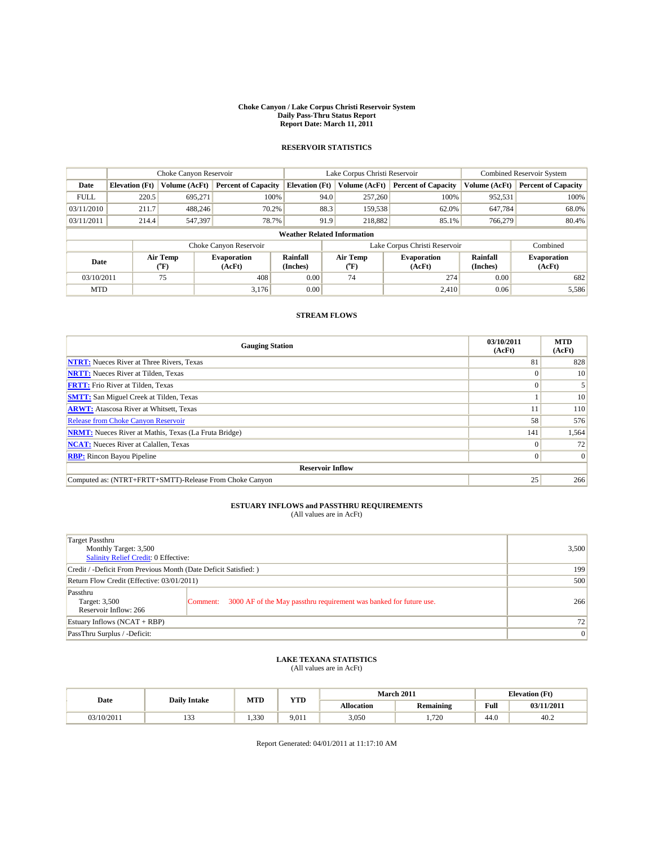#### **Choke Canyon / Lake Corpus Christi Reservoir System Daily Pass-Thru Status Report Report Date: March 11, 2011**

## **RESERVOIR STATISTICS**

|             | Choke Canyon Reservoir             |                  | Lake Corpus Christi Reservoir |                       |      |                                  | <b>Combined Reservoir System</b> |                      |                              |  |  |  |
|-------------|------------------------------------|------------------|-------------------------------|-----------------------|------|----------------------------------|----------------------------------|----------------------|------------------------------|--|--|--|
| Date        | <b>Elevation (Ft)</b>              | Volume (AcFt)    | <b>Percent of Capacity</b>    | <b>Elevation</b> (Ft) |      | Volume (AcFt)                    | <b>Percent of Capacity</b>       | Volume (AcFt)        | <b>Percent of Capacity</b>   |  |  |  |
| <b>FULL</b> | 220.5                              | 695.271          | 100%                          |                       | 94.0 | 257,260                          | 100%                             | 952,531              | 100%                         |  |  |  |
| 03/11/2010  | 211.7                              | 488,246          | 70.2%                         |                       | 88.3 | 159,538                          | 62.0%                            | 647,784              | 68.0%                        |  |  |  |
| 03/11/2011  | 214.4                              | 547,397          | 78.7%                         |                       | 91.9 | 218,882                          | 85.1%                            | 766,279              | 80.4%                        |  |  |  |
|             | <b>Weather Related Information</b> |                  |                               |                       |      |                                  |                                  |                      |                              |  |  |  |
|             |                                    |                  | Choke Canyon Reservoir        |                       |      |                                  | Lake Corpus Christi Reservoir    |                      | Combined                     |  |  |  |
| Date        |                                    | Air Temp<br>(°F) | <b>Evaporation</b><br>(AcFt)  | Rainfall<br>(Inches)  |      | <b>Air Temp</b><br>$(^{\circ}F)$ | <b>Evaporation</b><br>(AcFt)     | Rainfall<br>(Inches) | <b>Evaporation</b><br>(AcFt) |  |  |  |
| 03/10/2011  |                                    | 75               | 408                           | 0.00                  |      | 74                               | 274                              | 0.00                 | 682                          |  |  |  |
| <b>MTD</b>  |                                    |                  | 3,176                         | 0.00                  |      |                                  | 2,410                            | 0.06                 | 5,586                        |  |  |  |

### **STREAM FLOWS**

| <b>Gauging Station</b>                                       | 03/10/2011<br>(AcFt) | <b>MTD</b><br>(AcFt) |
|--------------------------------------------------------------|----------------------|----------------------|
| <b>NTRT:</b> Nueces River at Three Rivers, Texas             | 81                   | 828                  |
| <b>NRTT:</b> Nueces River at Tilden, Texas                   |                      | 10                   |
| <b>FRTT:</b> Frio River at Tilden, Texas                     |                      |                      |
| <b>SMTT:</b> San Miguel Creek at Tilden, Texas               |                      | 10                   |
| <b>ARWT:</b> Atascosa River at Whitsett, Texas               |                      | 110                  |
| <b>Release from Choke Canyon Reservoir</b>                   | 58                   | 576                  |
| <b>NRMT:</b> Nueces River at Mathis, Texas (La Fruta Bridge) | 141                  | 1,564                |
| <b>NCAT:</b> Nueces River at Calallen, Texas                 |                      | 72                   |
| <b>RBP:</b> Rincon Bayou Pipeline                            | 0                    | $\vert 0 \vert$      |
| <b>Reservoir Inflow</b>                                      |                      |                      |
| Computed as: (NTRT+FRTT+SMTT)-Release From Choke Canyon      | 25                   | 266                  |

## **ESTUARY INFLOWS and PASSTHRU REQUIREMENTS**<br>(All values are in AcFt)

| Target Passthru<br>Monthly Target: 3,500<br>Salinity Relief Credit: 0 Effective: |                                                                                | 3.500 |
|----------------------------------------------------------------------------------|--------------------------------------------------------------------------------|-------|
| Credit / -Deficit From Previous Month (Date Deficit Satisfied: )                 | 199                                                                            |       |
| Return Flow Credit (Effective: 03/01/2011)                                       | 500                                                                            |       |
| Passthru<br>Target: 3,500<br>Reservoir Inflow: 266                               | 3000 AF of the May passthru requirement was banked for future use.<br>Comment: | 266   |
| Estuary Inflows $(NCAT + RBP)$                                                   | 72                                                                             |       |
| PassThru Surplus / -Deficit:                                                     |                                                                                | 0     |

# **LAKE TEXANA STATISTICS** (All values are in AcFt)

| Date       | <b>Daily Intake</b>   | MTD   | <b>YTD</b> |            | <b>March 2011</b>                   | <b>Elevation</b> (Ft) |            |
|------------|-----------------------|-------|------------|------------|-------------------------------------|-----------------------|------------|
|            |                       |       |            | Allocation | $\cdot$ $\cdot$<br><b>Remaining</b> | Full                  | 03/11/2011 |
| 03/10/2011 | $\sim$<br>$1 - 1 - 1$ | 1.330 | 9,011      | 3,050      | 1.720                               | 44.0                  | 40.2       |

Report Generated: 04/01/2011 at 11:17:10 AM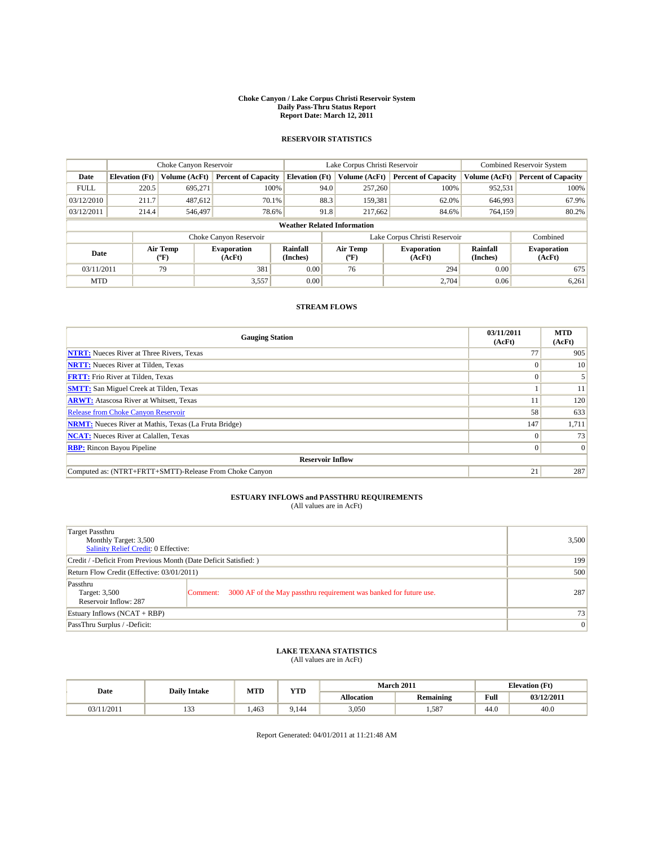#### **Choke Canyon / Lake Corpus Christi Reservoir System Daily Pass-Thru Status Report Report Date: March 12, 2011**

## **RESERVOIR STATISTICS**

|             | Choke Canyon Reservoir             |                  |                              |                       | Lake Corpus Christi Reservoir |                  |                               |                      | <b>Combined Reservoir System</b> |  |  |  |
|-------------|------------------------------------|------------------|------------------------------|-----------------------|-------------------------------|------------------|-------------------------------|----------------------|----------------------------------|--|--|--|
| Date        | <b>Elevation</b> (Ft)              | Volume (AcFt)    | <b>Percent of Capacity</b>   | <b>Elevation</b> (Ft) |                               | Volume (AcFt)    | <b>Percent of Capacity</b>    | Volume (AcFt)        | <b>Percent of Capacity</b>       |  |  |  |
| <b>FULL</b> | 220.5                              | 695.271          | 100%                         |                       | 94.0                          | 257,260          | 100%                          | 952,531              | 100%                             |  |  |  |
| 03/12/2010  | 211.7                              | 487,612          | 70.1%                        |                       | 88.3                          | 159,381          | 62.0%                         | 646,993              | 67.9%                            |  |  |  |
| 03/12/2011  | 214.4                              | 546,497          | 78.6%                        |                       | 91.8                          | 217.662          | 84.6%                         | 764,159              | 80.2%                            |  |  |  |
|             | <b>Weather Related Information</b> |                  |                              |                       |                               |                  |                               |                      |                                  |  |  |  |
|             |                                    |                  | Choke Canyon Reservoir       |                       |                               |                  | Lake Corpus Christi Reservoir |                      | Combined                         |  |  |  |
| Date        |                                    | Air Temp<br>("F) | <b>Evaporation</b><br>(AcFt) | Rainfall<br>(Inches)  |                               | Air Temp<br>("F) | <b>Evaporation</b><br>(AcFt)  | Rainfall<br>(Inches) | <b>Evaporation</b><br>(AcFt)     |  |  |  |
| 03/11/2011  |                                    | 79               | 381                          | 0.00                  |                               | 76               | 294                           | 0.00                 | 675                              |  |  |  |
| <b>MTD</b>  |                                    |                  | 3,557                        | 0.00                  |                               |                  | 2,704                         | 0.06                 | 6,261                            |  |  |  |

## **STREAM FLOWS**

| <b>Gauging Station</b>                                       | 03/11/2011<br>(AcFt) | <b>MTD</b><br>(AcFt) |
|--------------------------------------------------------------|----------------------|----------------------|
| <b>NTRT:</b> Nueces River at Three Rivers, Texas             |                      | 905                  |
| <b>NRTT:</b> Nueces River at Tilden, Texas                   |                      | 10                   |
| <b>FRTT:</b> Frio River at Tilden, Texas                     |                      |                      |
| <b>SMTT:</b> San Miguel Creek at Tilden, Texas               |                      | 11                   |
| <b>ARWT:</b> Atascosa River at Whitsett, Texas               |                      | 120                  |
| <b>Release from Choke Canyon Reservoir</b>                   | 58                   | 633                  |
| <b>NRMT:</b> Nueces River at Mathis, Texas (La Fruta Bridge) | 147                  | 1,711                |
| <b>NCAT:</b> Nueces River at Calallen, Texas                 |                      | 73                   |
| <b>RBP:</b> Rincon Bayou Pipeline                            |                      | $\vert 0 \vert$      |
| <b>Reservoir Inflow</b>                                      |                      |                      |
| Computed as: (NTRT+FRTT+SMTT)-Release From Choke Canyon      | 21                   | 287                  |

# **ESTUARY INFLOWS and PASSTHRU REQUIREMENTS**<br>(All values are in AcFt)

| <b>Target Passthru</b><br>Monthly Target: 3,500<br><b>Salinity Relief Credit: 0 Effective:</b> |                                                                                | 3,500 |
|------------------------------------------------------------------------------------------------|--------------------------------------------------------------------------------|-------|
| Credit / -Deficit From Previous Month (Date Deficit Satisfied: )                               | 199                                                                            |       |
| Return Flow Credit (Effective: 03/01/2011)                                                     | 500                                                                            |       |
| Passthru<br>Target: 3,500<br>Reservoir Inflow: 287                                             | 3000 AF of the May passthru requirement was banked for future use.<br>Comment: | 287   |
| Estuary Inflows $(NCAT + RBP)$                                                                 | 73                                                                             |       |
| PassThru Surplus / -Deficit:                                                                   | 0                                                                              |       |

## **LAKE TEXANA STATISTICS** (All values are in AcFt)

| Date     | <b>Daily Intake</b> | <b>MTD</b> | <b>VTD</b> |                   | <b>March 2011</b> | <b>Elevation</b> (Ft)                   |            |
|----------|---------------------|------------|------------|-------------------|-------------------|-----------------------------------------|------------|
|          |                     |            | 1 I D      | <b>Allocation</b> | <b>Remaining</b>  | Full<br>the contract of the contract of | 03/12/2011 |
| ! 1/2011 | $\sim$<br>1 J J     | .463       | 9.144      | 3,050             | 1.587             | 44.U                                    | 40.0       |

Report Generated: 04/01/2011 at 11:21:48 AM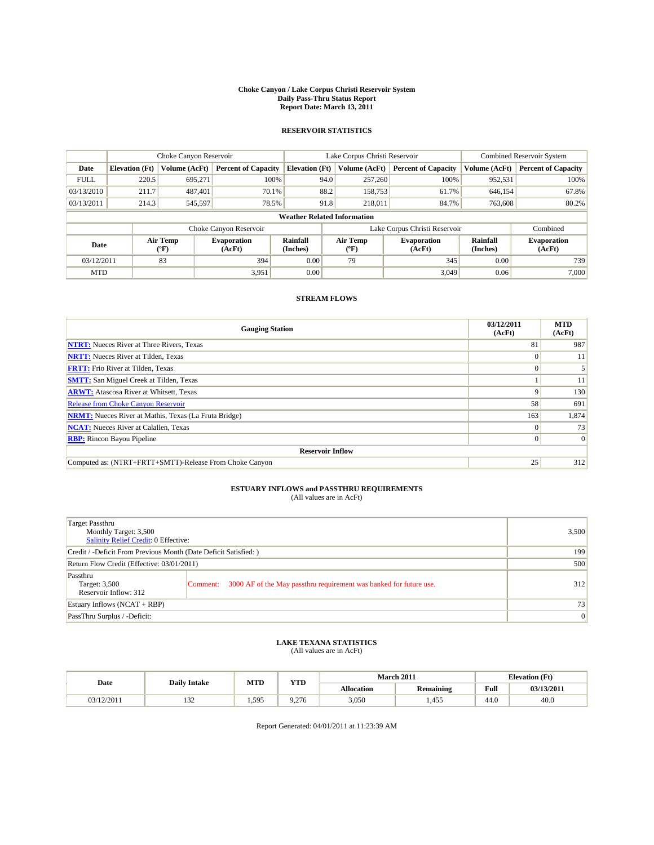#### **Choke Canyon / Lake Corpus Christi Reservoir System Daily Pass-Thru Status Report Report Date: March 13, 2011**

## **RESERVOIR STATISTICS**

|             | Choke Canyon Reservoir             |                  |                              |                       | Lake Corpus Christi Reservoir |                               |                      | <b>Combined Reservoir System</b> |  |  |
|-------------|------------------------------------|------------------|------------------------------|-----------------------|-------------------------------|-------------------------------|----------------------|----------------------------------|--|--|
| Date        | <b>Elevation</b> (Ft)              | Volume (AcFt)    | <b>Percent of Capacity</b>   | <b>Elevation</b> (Ft) | Volume (AcFt)                 | <b>Percent of Capacity</b>    | Volume (AcFt)        | <b>Percent of Capacity</b>       |  |  |
| <b>FULL</b> | 220.5                              | 695.271          | 100%                         | 94.0                  | 257,260                       | 100%                          | 952,531              | 100%                             |  |  |
| 03/13/2010  | 211.7                              | 487,401          | 70.1%                        | 88.2                  | 158,753                       | 61.7%                         | 646,154              | 67.8%                            |  |  |
| 03/13/2011  | 214.3                              | 545,597          | 78.5%                        | 91.8                  | 218,011                       | 84.7%                         | 763,608              | 80.2%                            |  |  |
|             | <b>Weather Related Information</b> |                  |                              |                       |                               |                               |                      |                                  |  |  |
|             |                                    |                  | Choke Canyon Reservoir       |                       |                               | Lake Corpus Christi Reservoir |                      | Combined                         |  |  |
| Date        |                                    | Air Temp<br>(°F) | <b>Evaporation</b><br>(AcFt) | Rainfall<br>(Inches)  | Air Temp<br>("F               | <b>Evaporation</b><br>(AcFt)  | Rainfall<br>(Inches) | <b>Evaporation</b><br>(AcFt)     |  |  |
| 03/12/2011  |                                    | 83               | 394                          | 0.00                  | 79                            | 345                           | 0.00                 | 739                              |  |  |
| <b>MTD</b>  |                                    |                  | 3,951                        | 0.00                  |                               | 3.049                         | 0.06                 | 7.000                            |  |  |

### **STREAM FLOWS**

| <b>Gauging Station</b>                                       | 03/12/2011<br>(AcFt) | <b>MTD</b><br>(AcFt) |
|--------------------------------------------------------------|----------------------|----------------------|
| <b>NTRT:</b> Nueces River at Three Rivers, Texas             | 81                   | 987                  |
| <b>NRTT:</b> Nueces River at Tilden, Texas                   |                      | 11                   |
| <b>FRTT:</b> Frio River at Tilden, Texas                     |                      |                      |
| <b>SMTT:</b> San Miguel Creek at Tilden, Texas               |                      | 11                   |
| <b>ARWT:</b> Atascosa River at Whitsett, Texas               | a                    | 130                  |
| <b>Release from Choke Canyon Reservoir</b>                   | 58                   | 691                  |
| <b>NRMT:</b> Nueces River at Mathis, Texas (La Fruta Bridge) | 163                  | 1,874                |
| <b>NCAT:</b> Nueces River at Calallen, Texas                 |                      | 73                   |
| <b>RBP:</b> Rincon Bayou Pipeline                            | $\Omega$             | 0                    |
| <b>Reservoir Inflow</b>                                      |                      |                      |
| Computed as: (NTRT+FRTT+SMTT)-Release From Choke Canyon      | 25                   | 312                  |

## **ESTUARY INFLOWS and PASSTHRU REQUIREMENTS**<br>(All values are in AcFt)

| <b>Target Passthru</b><br>Monthly Target: 3,500<br><b>Salinity Relief Credit: 0 Effective:</b> |                                                                                | 3.500 |
|------------------------------------------------------------------------------------------------|--------------------------------------------------------------------------------|-------|
| Credit / -Deficit From Previous Month (Date Deficit Satisfied: )                               | 199                                                                            |       |
| Return Flow Credit (Effective: 03/01/2011)                                                     | 500                                                                            |       |
| Passthru<br>Target: 3,500<br>Reservoir Inflow: 312                                             | 3000 AF of the May passthru requirement was banked for future use.<br>Comment: | 312   |
| Estuary Inflows $(NCAT + RBP)$                                                                 |                                                                                | 73    |
| PassThru Surplus / -Deficit:                                                                   |                                                                                | 0     |

### **LAKE TEXANA STATISTICS** (All values are in AcFt)

| Date       | <b>Daily Intake</b> | <b>MTD</b> | <b>YTD</b> |                   | <b>March 2011</b> |      | <b>Elevation</b> (Ft) |  |
|------------|---------------------|------------|------------|-------------------|-------------------|------|-----------------------|--|
|            |                     |            |            | <b>Allocation</b> | <b>Remaining</b>  | Full | 03/13/2011            |  |
| 03/12/2011 | $\sim$<br>1 J 4     | 1,595      | ).276      | 3,050             | ,455              | 44.0 | 40.0                  |  |

Report Generated: 04/01/2011 at 11:23:39 AM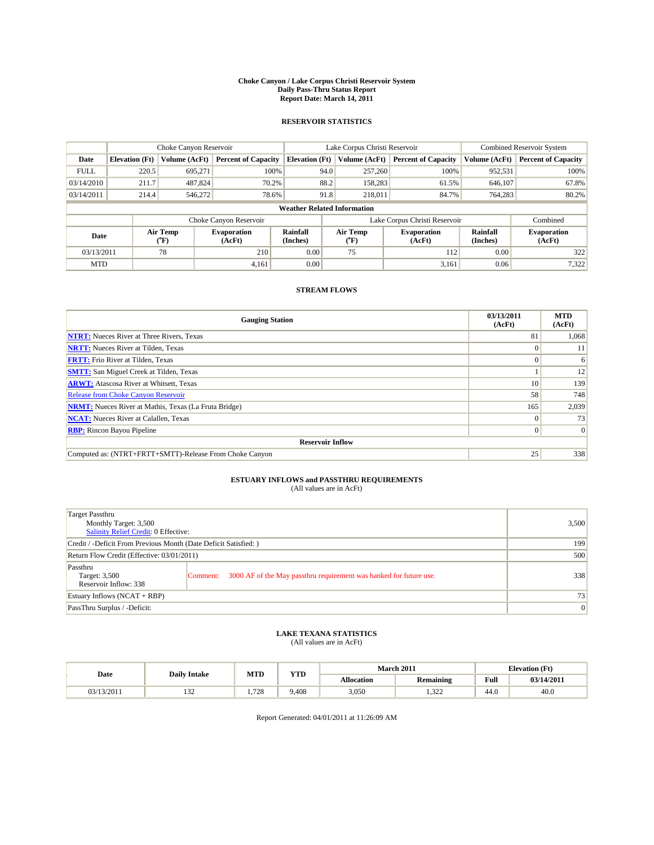#### **Choke Canyon / Lake Corpus Christi Reservoir System Daily Pass-Thru Status Report Report Date: March 14, 2011**

### **RESERVOIR STATISTICS**

|             | Choke Canyon Reservoir             |                  |                              |                             | Lake Corpus Christi Reservoir | <b>Combined Reservoir System</b> |                      |                              |  |  |
|-------------|------------------------------------|------------------|------------------------------|-----------------------------|-------------------------------|----------------------------------|----------------------|------------------------------|--|--|
| Date        | <b>Elevation</b> (Ft)              | Volume (AcFt)    | <b>Percent of Capacity</b>   | <b>Elevation</b> (Ft)       | Volume (AcFt)                 | <b>Percent of Capacity</b>       | Volume (AcFt)        | <b>Percent of Capacity</b>   |  |  |
| <b>FULL</b> | 220.5                              | 695,271          | 100%                         | 94.0                        | 257,260                       | 100%                             | 952,531              | 100%                         |  |  |
| 03/14/2010  | 211.7                              | 487,824          | 70.2%                        | 88.2                        | 158,283                       | 61.5%                            | 646,107              | 67.8%                        |  |  |
| 03/14/2011  | 214.4                              | 546,272          | 78.6%                        | 91.8                        | 218,011                       | 84.7%                            | 764,283              | 80.2%                        |  |  |
|             | <b>Weather Related Information</b> |                  |                              |                             |                               |                                  |                      |                              |  |  |
|             |                                    |                  | Choke Canyon Reservoir       |                             |                               | Lake Corpus Christi Reservoir    |                      | Combined                     |  |  |
| Date        |                                    | Air Temp<br>(°F) | <b>Evaporation</b><br>(AcFt) | <b>Rainfall</b><br>(Inches) | Air Temp<br>(°F)              | <b>Evaporation</b><br>(AcFt)     | Rainfall<br>(Inches) | <b>Evaporation</b><br>(AcFt) |  |  |
| 03/13/2011  |                                    | 78               | 210                          | 0.00                        | 75                            | 112                              | 0.00                 | 322                          |  |  |
| <b>MTD</b>  |                                    |                  | 4,161                        | 0.00                        |                               | 3,161                            | 0.06                 | 7,322                        |  |  |

## **STREAM FLOWS**

| <b>Gauging Station</b>                                       | 03/13/2011<br>(AcFt) | <b>MTD</b><br>(AcFt) |
|--------------------------------------------------------------|----------------------|----------------------|
| <b>NTRT:</b> Nueces River at Three Rivers, Texas             | 81                   | 1,068                |
| <b>NRTT:</b> Nueces River at Tilden, Texas                   | $\Omega$             | 11                   |
| <b>FRTT:</b> Frio River at Tilden, Texas                     |                      | 6                    |
| <b>SMTT:</b> San Miguel Creek at Tilden, Texas               |                      | 12                   |
| <b>ARWT:</b> Atascosa River at Whitsett, Texas               | 10 <sup>1</sup>      | 139                  |
| <b>Release from Choke Canyon Reservoir</b>                   | 58                   | 748                  |
| <b>NRMT:</b> Nueces River at Mathis, Texas (La Fruta Bridge) | 165                  | 2,039                |
| <b>NCAT:</b> Nueces River at Calallen, Texas                 | $\Omega$             | 73                   |
| <b>RBP:</b> Rincon Bayou Pipeline                            | $\overline{0}$       | $\Omega$             |
| <b>Reservoir Inflow</b>                                      |                      |                      |
| Computed as: (NTRT+FRTT+SMTT)-Release From Choke Canyon      | 25                   | 338                  |

# **ESTUARY INFLOWS and PASSTHRU REQUIREMENTS**<br>(All values are in AcFt)

| Target Passthru<br>Monthly Target: 3,500<br>Salinity Relief Credit: 0 Effective: |                                                                                | 3,500           |
|----------------------------------------------------------------------------------|--------------------------------------------------------------------------------|-----------------|
| Credit / -Deficit From Previous Month (Date Deficit Satisfied: )                 | 199                                                                            |                 |
| Return Flow Credit (Effective: 03/01/2011)                                       | 500                                                                            |                 |
| Passthru<br>Target: 3,500<br>Reservoir Inflow: 338                               | 3000 AF of the May passthru requirement was banked for future use.<br>Comment: | 338             |
| Estuary Inflows (NCAT + RBP)                                                     |                                                                                | 73              |
| PassThru Surplus / -Deficit:                                                     |                                                                                | $\vert 0 \vert$ |

## **LAKE TEXANA STATISTICS** (All values are in AcFt)

|            | <b>Daily Intake</b> | MTD  | <b>YTD</b> | March 2011<br><b>Elevation</b> (Ft) |                  |                                         |            |
|------------|---------------------|------|------------|-------------------------------------|------------------|-----------------------------------------|------------|
| Date       |                     |      |            | <b>Allocation</b>                   | <b>Remaining</b> | Full<br>the contract of the contract of | 03/14/2011 |
| 03/13/2011 | $\sim$<br>1 J 4     | .728 | 9.408      | 3,050                               | 1.322            | 44.0                                    | 40.0       |

Report Generated: 04/01/2011 at 11:26:09 AM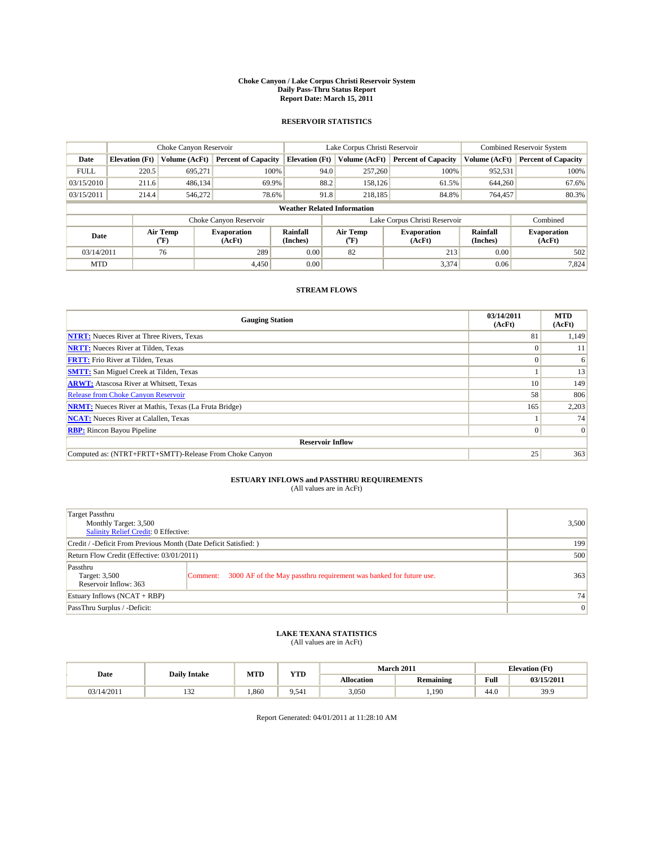#### **Choke Canyon / Lake Corpus Christi Reservoir System Daily Pass-Thru Status Report Report Date: March 15, 2011**

### **RESERVOIR STATISTICS**

|             | Choke Canyon Reservoir             |                  |                              |                             | Lake Corpus Christi Reservoir | <b>Combined Reservoir System</b> |                      |                              |  |  |
|-------------|------------------------------------|------------------|------------------------------|-----------------------------|-------------------------------|----------------------------------|----------------------|------------------------------|--|--|
| Date        | <b>Elevation</b> (Ft)              | Volume (AcFt)    | <b>Percent of Capacity</b>   | <b>Elevation</b> (Ft)       | Volume (AcFt)                 | <b>Percent of Capacity</b>       | Volume (AcFt)        | <b>Percent of Capacity</b>   |  |  |
| <b>FULL</b> | 220.5                              | 695,271          | 100%                         | 94.0                        | 257,260                       | 100%                             | 952,531              | 100%                         |  |  |
| 03/15/2010  | 211.6                              | 486,134          | 69.9%                        | 88.2                        | 158,126                       | 61.5%                            | 644,260              | 67.6%                        |  |  |
| 03/15/2011  | 214.4                              | 546,272          | 78.6%                        | 91.8                        | 218,185                       | 84.8%                            | 764,457              | 80.3%                        |  |  |
|             | <b>Weather Related Information</b> |                  |                              |                             |                               |                                  |                      |                              |  |  |
|             |                                    |                  | Choke Canyon Reservoir       |                             |                               | Lake Corpus Christi Reservoir    |                      | Combined                     |  |  |
| Date        |                                    | Air Temp<br>(°F) | <b>Evaporation</b><br>(AcFt) | <b>Rainfall</b><br>(Inches) | Air Temp<br>(°F)              | <b>Evaporation</b><br>(AcFt)     | Rainfall<br>(Inches) | <b>Evaporation</b><br>(AcFt) |  |  |
| 03/14/2011  |                                    | 76               | 289                          | 0.00                        | 82                            | 213                              | 0.00                 | 502                          |  |  |
| <b>MTD</b>  |                                    |                  | 4.450                        | 0.00                        |                               | 3,374                            | 0.06                 | 7,824                        |  |  |

## **STREAM FLOWS**

| <b>Gauging Station</b>                                       | 03/14/2011<br>(AcFt) | <b>MTD</b><br>(AcFt) |
|--------------------------------------------------------------|----------------------|----------------------|
| <b>NTRT:</b> Nueces River at Three Rivers, Texas             | 81                   | 1,149                |
| <b>NRTT:</b> Nueces River at Tilden, Texas                   |                      | 11                   |
| <b>FRTT:</b> Frio River at Tilden, Texas                     |                      | 6                    |
| <b>SMTT:</b> San Miguel Creek at Tilden, Texas               |                      | 13                   |
| <b>ARWT:</b> Atascosa River at Whitsett, Texas               | 10 <sup>1</sup>      | 149                  |
| Release from Choke Canyon Reservoir                          | 58                   | 806                  |
| <b>NRMT:</b> Nueces River at Mathis, Texas (La Fruta Bridge) | 165                  | 2,203                |
| <b>NCAT:</b> Nueces River at Calallen, Texas                 |                      | 74                   |
| <b>RBP:</b> Rincon Bayou Pipeline                            | $\Omega$             | $\Omega$             |
| <b>Reservoir Inflow</b>                                      |                      |                      |
| Computed as: (NTRT+FRTT+SMTT)-Release From Choke Canyon      | 25                   | 363                  |

# **ESTUARY INFLOWS and PASSTHRU REQUIREMENTS**<br>(All values are in AcFt)

| Target Passthru<br>Monthly Target: 3,500<br>Salinity Relief Credit: 0 Effective: |                                                                                | 3,500           |
|----------------------------------------------------------------------------------|--------------------------------------------------------------------------------|-----------------|
| Credit / -Deficit From Previous Month (Date Deficit Satisfied: )                 | 199                                                                            |                 |
| Return Flow Credit (Effective: 03/01/2011)                                       | 500                                                                            |                 |
| Passthru<br>Target: 3,500<br>Reservoir Inflow: 363                               | 3000 AF of the May passthru requirement was banked for future use.<br>Comment: | 363             |
| Estuary Inflows (NCAT + RBP)                                                     |                                                                                | 74              |
| PassThru Surplus / -Deficit:                                                     |                                                                                | $\vert 0 \vert$ |

## **LAKE TEXANA STATISTICS** (All values are in AcFt)

|            | <b>Daily Intake</b> | MTD   | <b>YTD</b> | March 2011<br><b>Elevation</b> (Ft) |                  |                                         |            |
|------------|---------------------|-------|------------|-------------------------------------|------------------|-----------------------------------------|------------|
| Date       |                     |       |            | <b>Allocation</b>                   | <b>Remaining</b> | Full<br>the contract of the contract of | 03/15/2011 |
| 03/14/2011 | $\sim$<br>1 J 4     | 1.860 | 9.541      | 3,050                               | . 190            | 44.0                                    | 39.9       |

Report Generated: 04/01/2011 at 11:28:10 AM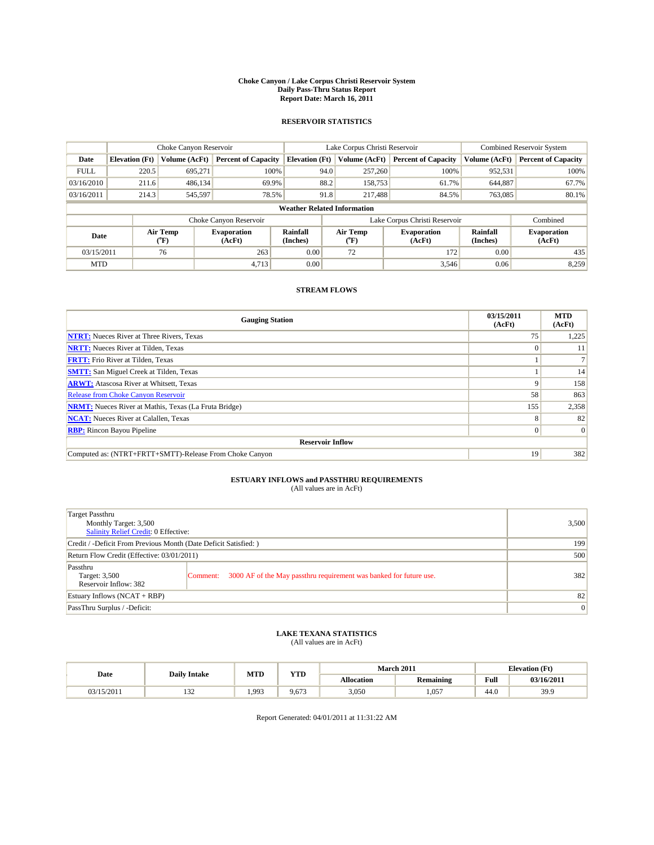#### **Choke Canyon / Lake Corpus Christi Reservoir System Daily Pass-Thru Status Report Report Date: March 16, 2011**

### **RESERVOIR STATISTICS**

|             | Choke Canyon Reservoir             |                  |                              |                             | Lake Corpus Christi Reservoir | <b>Combined Reservoir System</b> |                      |                              |  |  |
|-------------|------------------------------------|------------------|------------------------------|-----------------------------|-------------------------------|----------------------------------|----------------------|------------------------------|--|--|
| Date        | <b>Elevation</b> (Ft)              | Volume (AcFt)    | <b>Percent of Capacity</b>   | <b>Elevation</b> (Ft)       | Volume (AcFt)                 | <b>Percent of Capacity</b>       | Volume (AcFt)        | <b>Percent of Capacity</b>   |  |  |
| <b>FULL</b> | 220.5                              | 695,271          | 100%                         | 94.0                        | 257,260                       | 100%                             | 952,531              | 100%                         |  |  |
| 03/16/2010  | 211.6                              | 486,134          | 69.9%                        | 88.2                        | 158,753                       | 61.7%                            | 644,887              | 67.7%                        |  |  |
| 03/16/2011  | 214.3                              | 545,597          | 78.5%                        | 91.8                        | 217,488                       | 84.5%                            | 763,085              | 80.1%                        |  |  |
|             | <b>Weather Related Information</b> |                  |                              |                             |                               |                                  |                      |                              |  |  |
|             |                                    |                  | Choke Canyon Reservoir       |                             | Lake Corpus Christi Reservoir |                                  |                      | Combined                     |  |  |
| Date        |                                    | Air Temp<br>(°F) | <b>Evaporation</b><br>(AcFt) | <b>Rainfall</b><br>(Inches) | Air Temp<br>(°F)              | <b>Evaporation</b><br>(AcFt)     | Rainfall<br>(Inches) | <b>Evaporation</b><br>(AcFt) |  |  |
| 03/15/2011  |                                    | 76               | 263                          | 0.00                        | 72                            | 172                              | 0.00                 | 435                          |  |  |
| <b>MTD</b>  |                                    |                  | 4,713                        | 0.00                        |                               | 3,546                            | 0.06                 | 8,259                        |  |  |

## **STREAM FLOWS**

| <b>Gauging Station</b>                                       | 03/15/2011<br>(AcFt) | <b>MTD</b><br>(AcFt) |
|--------------------------------------------------------------|----------------------|----------------------|
| <b>NTRT:</b> Nueces River at Three Rivers, Texas             | 75                   | 1,225                |
| <b>NRTT:</b> Nueces River at Tilden, Texas                   | $\Omega$             | 11                   |
| <b>FRTT:</b> Frio River at Tilden, Texas                     |                      |                      |
| <b>SMTT:</b> San Miguel Creek at Tilden, Texas               |                      | 14                   |
| <b>ARWT:</b> Atascosa River at Whitsett, Texas               | 9                    | 158                  |
| <b>Release from Choke Canyon Reservoir</b>                   | 58                   | 863                  |
| <b>NRMT:</b> Nueces River at Mathis, Texas (La Fruta Bridge) | 155                  | 2,358                |
| <b>NCAT:</b> Nueces River at Calallen, Texas                 | 8                    | 82                   |
| <b>RBP:</b> Rincon Bayou Pipeline                            | $\overline{0}$       | $\Omega$             |
| <b>Reservoir Inflow</b>                                      |                      |                      |
| Computed as: (NTRT+FRTT+SMTT)-Release From Choke Canyon      | 19                   | 382                  |

# **ESTUARY INFLOWS and PASSTHRU REQUIREMENTS**<br>(All values are in AcFt)

| Target Passthru<br>Monthly Target: 3,500<br>Salinity Relief Credit: 0 Effective: |                                                                                | 3,500 |
|----------------------------------------------------------------------------------|--------------------------------------------------------------------------------|-------|
| Credit / -Deficit From Previous Month (Date Deficit Satisfied: )                 | 199                                                                            |       |
| Return Flow Credit (Effective: 03/01/2011)                                       | 500                                                                            |       |
| Passthru<br>Target: 3,500<br>Reservoir Inflow: 382                               | 3000 AF of the May passthru requirement was banked for future use.<br>Comment: | 382   |
| Estuary Inflows (NCAT + RBP)                                                     |                                                                                | 82    |
| PassThru Surplus / -Deficit:                                                     | $\vert 0 \vert$                                                                |       |

## **LAKE TEXANA STATISTICS** (All values are in AcFt)

| Date       | <b>Daily Intake</b> | MTD   | <b>YTD</b> | March 2011<br><b>Elevation</b> (Ft) |                  |                                         |            |
|------------|---------------------|-------|------------|-------------------------------------|------------------|-----------------------------------------|------------|
|            |                     |       |            | <b>Allocation</b>                   | <b>Remaining</b> | Full<br>the contract of the contract of | 03/16/2011 |
| 03/15/2011 | $\sim$<br>1 J 4     | 1.993 | 9.673      | 3,050                               | 1.057            | 44.0                                    | 39.9       |

Report Generated: 04/01/2011 at 11:31:22 AM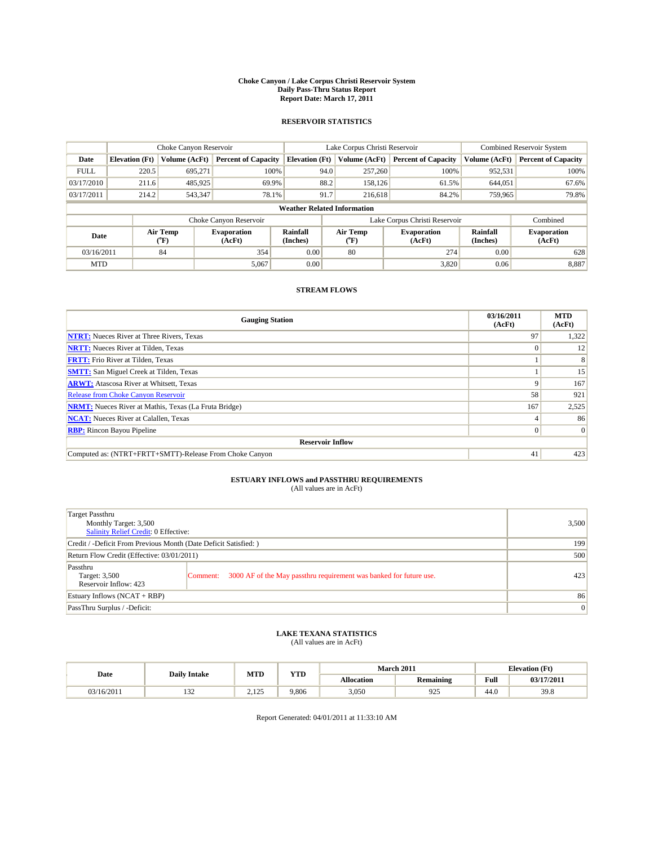#### **Choke Canyon / Lake Corpus Christi Reservoir System Daily Pass-Thru Status Report Report Date: March 17, 2011**

### **RESERVOIR STATISTICS**

|             | Choke Canyon Reservoir             |                                           |                              |                       | Lake Corpus Christi Reservoir |                  |                              |                      | <b>Combined Reservoir System</b> |  |  |
|-------------|------------------------------------|-------------------------------------------|------------------------------|-----------------------|-------------------------------|------------------|------------------------------|----------------------|----------------------------------|--|--|
| Date        | <b>Elevation</b> (Ft)              | Volume (AcFt)                             | <b>Percent of Capacity</b>   | <b>Elevation</b> (Ft) |                               | Volume (AcFt)    | <b>Percent of Capacity</b>   | Volume (AcFt)        | <b>Percent of Capacity</b>       |  |  |
| <b>FULL</b> | 220.5                              | 695.271                                   | 100%                         |                       | 94.0                          | 257,260          | 100%                         | 952,531              | 100%                             |  |  |
| 03/17/2010  | 211.6                              | 485,925                                   | 69.9%                        |                       | 88.2                          | 158,126          | 61.5%                        | 644,051              | 67.6%                            |  |  |
| 03/17/2011  | 214.2                              | 543,347                                   | 78.1%                        |                       | 91.7                          | 216,618          | 84.2%                        | 759,965              | 79.8%                            |  |  |
|             | <b>Weather Related Information</b> |                                           |                              |                       |                               |                  |                              |                      |                                  |  |  |
|             |                                    |                                           | Choke Canyon Reservoir       |                       | Lake Corpus Christi Reservoir |                  |                              |                      | Combined                         |  |  |
| Date        |                                    | Air Temp<br>$({}^{\mathrm{o}}\mathrm{F})$ | <b>Evaporation</b><br>(AcFt) | Rainfall<br>(Inches)  |                               | Air Temp<br>(°F) | <b>Evaporation</b><br>(AcFt) | Rainfall<br>(Inches) | <b>Evaporation</b><br>(AcFt)     |  |  |
| 03/16/2011  |                                    | 84                                        | 354                          | 0.00                  |                               | 80               | 274                          | 0.00                 | 628                              |  |  |
| <b>MTD</b>  |                                    |                                           | 5,067                        | 0.00                  |                               |                  | 3.820                        | 0.06                 | 8,887                            |  |  |

## **STREAM FLOWS**

| <b>Gauging Station</b>                                       | 03/16/2011<br>(AcFt) | <b>MTD</b><br>(AcFt) |
|--------------------------------------------------------------|----------------------|----------------------|
| <b>NTRT:</b> Nueces River at Three Rivers, Texas             | 97                   | 1,322                |
| <b>NRTT:</b> Nueces River at Tilden, Texas                   | $\Omega$             | 12                   |
| <b>FRTT:</b> Frio River at Tilden, Texas                     |                      |                      |
| <b>SMTT:</b> San Miguel Creek at Tilden, Texas               |                      | 15                   |
| <b>ARWT:</b> Atascosa River at Whitsett, Texas               | 9                    | 167                  |
| Release from Choke Canyon Reservoir                          | 58                   | 921                  |
| <b>NRMT:</b> Nueces River at Mathis, Texas (La Fruta Bridge) | 167                  | 2,525                |
| <b>NCAT:</b> Nueces River at Calallen, Texas                 |                      | 86                   |
| <b>RBP:</b> Rincon Bayou Pipeline                            | $\Omega$             | $\Omega$             |
| <b>Reservoir Inflow</b>                                      |                      |                      |
| Computed as: (NTRT+FRTT+SMTT)-Release From Choke Canyon      | 41                   | 423                  |

# **ESTUARY INFLOWS and PASSTHRU REQUIREMENTS**<br>(All values are in AcFt)

| Target Passthru<br>Monthly Target: 3,500<br>Salinity Relief Credit: 0 Effective: |                                                                                | 3,500 |
|----------------------------------------------------------------------------------|--------------------------------------------------------------------------------|-------|
| Credit / -Deficit From Previous Month (Date Deficit Satisfied: )                 | 199                                                                            |       |
| Return Flow Credit (Effective: 03/01/2011)                                       | 500                                                                            |       |
| Passthru<br>Target: 3,500<br>Reservoir Inflow: 423                               | 3000 AF of the May passthru requirement was banked for future use.<br>Comment: | 423   |
| Estuary Inflows (NCAT + RBP)                                                     | 86                                                                             |       |
| PassThru Surplus / -Deficit:                                                     | $\vert 0 \vert$                                                                |       |

## **LAKE TEXANA STATISTICS** (All values are in AcFt)

| Date       | <b>Daily Intake</b> | MTD            | <b>YTD</b> | March 2011        |                  |                                         | <b>Elevation</b> (Ft) |  |
|------------|---------------------|----------------|------------|-------------------|------------------|-----------------------------------------|-----------------------|--|
|            |                     |                |            | <b>Allocation</b> | <b>Remaining</b> | Full<br>the contract of the contract of | 03/17/2011            |  |
| 03/16/2011 | $\sim$<br>1 J 4     | 125<br>رے کے ب | 9.806      | 3,050             | 925              | 44.0                                    | 39.8                  |  |

Report Generated: 04/01/2011 at 11:33:10 AM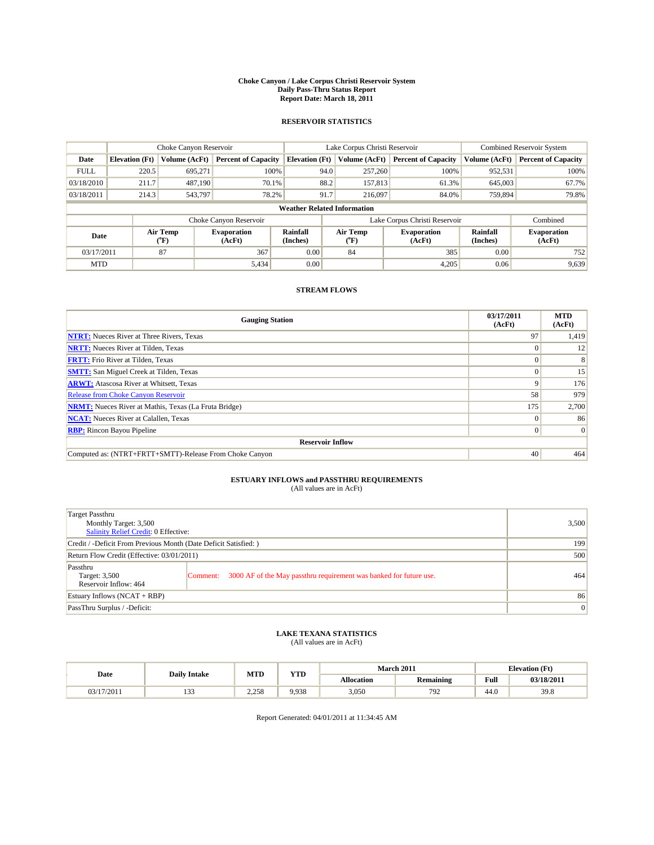#### **Choke Canyon / Lake Corpus Christi Reservoir System Daily Pass-Thru Status Report Report Date: March 18, 2011**

### **RESERVOIR STATISTICS**

|             | Choke Canyon Reservoir             |                  |                              |                             | Lake Corpus Christi Reservoir | <b>Combined Reservoir System</b> |                      |                              |  |  |
|-------------|------------------------------------|------------------|------------------------------|-----------------------------|-------------------------------|----------------------------------|----------------------|------------------------------|--|--|
| Date        | <b>Elevation</b> (Ft)              | Volume (AcFt)    | <b>Percent of Capacity</b>   | <b>Elevation</b> (Ft)       | Volume (AcFt)                 | <b>Percent of Capacity</b>       | Volume (AcFt)        | <b>Percent of Capacity</b>   |  |  |
| <b>FULL</b> | 220.5                              | 695,271          | 100%                         | 94.0                        | 257,260                       | 100%                             | 952,531              | 100%                         |  |  |
| 03/18/2010  | 211.7                              | 487.190          | 70.1%                        | 88.2                        | 157,813                       | 61.3%                            | 645,003              | 67.7%                        |  |  |
| 03/18/2011  | 214.3                              | 543,797          | 78.2%                        | 91.7                        | 216,097                       | 84.0%                            | 759,894              | 79.8%                        |  |  |
|             | <b>Weather Related Information</b> |                  |                              |                             |                               |                                  |                      |                              |  |  |
|             |                                    |                  | Choke Canyon Reservoir       |                             | Lake Corpus Christi Reservoir |                                  | Combined             |                              |  |  |
| Date        |                                    | Air Temp<br>(°F) | <b>Evaporation</b><br>(AcFt) | <b>Rainfall</b><br>(Inches) | Air Temp<br>(°F)              | <b>Evaporation</b><br>(AcFt)     | Rainfall<br>(Inches) | <b>Evaporation</b><br>(AcFt) |  |  |
| 03/17/2011  |                                    | 87               | 367                          | 0.00                        | 84                            | 385                              | 0.00                 | 752                          |  |  |
| <b>MTD</b>  |                                    |                  | 5,434                        | 0.00                        |                               | 4,205                            | 0.06                 | 9,639                        |  |  |

## **STREAM FLOWS**

| <b>Gauging Station</b>                                       | 03/17/2011<br>(AcFt) | <b>MTD</b><br>(AcFt) |
|--------------------------------------------------------------|----------------------|----------------------|
| <b>NTRT:</b> Nueces River at Three Rivers, Texas             | 97                   | 1,419                |
| <b>NRTT:</b> Nueces River at Tilden, Texas                   |                      | 12                   |
| <b>FRTT:</b> Frio River at Tilden, Texas                     |                      |                      |
| <b>SMTT:</b> San Miguel Creek at Tilden, Texas               |                      | 15                   |
| <b>ARWT:</b> Atascosa River at Whitsett, Texas               | 9                    | 176                  |
| Release from Choke Canyon Reservoir                          | 58                   | 979                  |
| <b>NRMT:</b> Nueces River at Mathis, Texas (La Fruta Bridge) | 175                  | 2,700                |
| <b>NCAT:</b> Nueces River at Calallen, Texas                 | $\Omega$             | 86                   |
| <b>RBP:</b> Rincon Bayou Pipeline                            | $\Omega$             | $\Omega$             |
| <b>Reservoir Inflow</b>                                      |                      |                      |
| Computed as: (NTRT+FRTT+SMTT)-Release From Choke Canyon      | 40                   | 464                  |

# **ESTUARY INFLOWS and PASSTHRU REQUIREMENTS**<br>(All values are in AcFt)

| Target Passthru<br>Monthly Target: 3,500<br><b>Salinity Relief Credit: 0 Effective:</b> |                                                                                | 3,500           |
|-----------------------------------------------------------------------------------------|--------------------------------------------------------------------------------|-----------------|
| Credit / -Deficit From Previous Month (Date Deficit Satisfied: )                        | 199                                                                            |                 |
| Return Flow Credit (Effective: 03/01/2011)                                              | 500                                                                            |                 |
| Passthru<br>Target: 3,500<br>Reservoir Inflow: 464                                      | 3000 AF of the May passthru requirement was banked for future use.<br>Comment: | 464             |
| Estuary Inflows $(NCAT + RBP)$                                                          |                                                                                | 86              |
| PassThru Surplus / -Deficit:                                                            |                                                                                | $\vert 0 \vert$ |

## **LAKE TEXANA STATISTICS** (All values are in AcFt)

| Date       | <b>Daily Intake</b> | MTD   | <b>WTD</b><br>1 I.D | <b>March 2011</b><br><b>Elevation</b> (Ft) |                  |                                         |            |
|------------|---------------------|-------|---------------------|--------------------------------------------|------------------|-----------------------------------------|------------|
|            |                     |       |                     | <b>Allocation</b>                          | <b>Remaining</b> | Full<br>the contract of the contract of | 03/18/2011 |
| 03/17/2011 | $\sim$<br>.         | 2.258 | 9.938               | 3.050                                      | 792              | 44.0                                    | 39.8       |

Report Generated: 04/01/2011 at 11:34:45 AM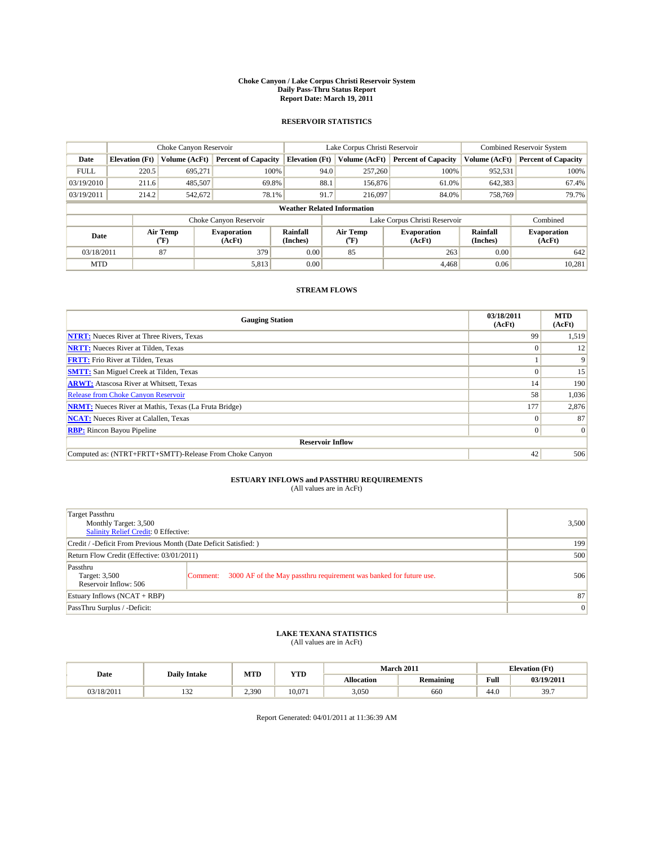#### **Choke Canyon / Lake Corpus Christi Reservoir System Daily Pass-Thru Status Report Report Date: March 19, 2011**

### **RESERVOIR STATISTICS**

|             | Choke Canyon Reservoir             |                  |                              |                             | Lake Corpus Christi Reservoir | <b>Combined Reservoir System</b> |                      |                              |  |  |  |
|-------------|------------------------------------|------------------|------------------------------|-----------------------------|-------------------------------|----------------------------------|----------------------|------------------------------|--|--|--|
| Date        | <b>Elevation</b> (Ft)              | Volume (AcFt)    | <b>Percent of Capacity</b>   | <b>Elevation</b> (Ft)       | Volume (AcFt)                 | <b>Percent of Capacity</b>       | Volume (AcFt)        | <b>Percent of Capacity</b>   |  |  |  |
| <b>FULL</b> | 220.5                              | 695,271          | 100%                         | 94.0                        | 257,260                       | 100%                             | 952,531              | 100%                         |  |  |  |
| 03/19/2010  | 211.6                              | 485,507          | 69.8%                        | 88.1                        | 156,876                       | 61.0%                            | 642,383              | 67.4%                        |  |  |  |
| 03/19/2011  | 214.2                              | 542,672          | 78.1%                        | 91.7                        | 216,097                       | 84.0%                            | 758,769              | 79.7%                        |  |  |  |
|             | <b>Weather Related Information</b> |                  |                              |                             |                               |                                  |                      |                              |  |  |  |
|             |                                    |                  | Choke Canyon Reservoir       |                             |                               | Lake Corpus Christi Reservoir    |                      | Combined                     |  |  |  |
| Date        |                                    | Air Temp<br>(°F) | <b>Evaporation</b><br>(AcFt) | <b>Rainfall</b><br>(Inches) | Air Temp<br>(°F)              | <b>Evaporation</b><br>(AcFt)     | Rainfall<br>(Inches) | <b>Evaporation</b><br>(AcFt) |  |  |  |
| 03/18/2011  |                                    | 87               | 379                          | 0.00                        | 85                            | 263                              | 0.00                 | 642                          |  |  |  |
| <b>MTD</b>  |                                    |                  | 5,813                        | 0.00                        |                               | 4.468                            | 0.06                 | 10,281                       |  |  |  |

## **STREAM FLOWS**

| <b>Gauging Station</b>                                       | 03/18/2011<br>(AcFt) | <b>MTD</b><br>(AcFt) |
|--------------------------------------------------------------|----------------------|----------------------|
| <b>NTRT:</b> Nueces River at Three Rivers, Texas             | 99                   | 1,519                |
| <b>NRTT:</b> Nueces River at Tilden, Texas                   | $\Omega$             | 12                   |
| <b>FRTT:</b> Frio River at Tilden, Texas                     |                      | 9                    |
| <b>SMTT:</b> San Miguel Creek at Tilden, Texas               |                      | 15                   |
| <b>ARWT:</b> Atascosa River at Whitsett, Texas               | 14                   | 190                  |
| Release from Choke Canyon Reservoir                          | 58                   | 1,036                |
| <b>NRMT:</b> Nueces River at Mathis, Texas (La Fruta Bridge) | 177                  | 2,876                |
| <b>NCAT:</b> Nueces River at Calallen, Texas                 | $\Omega$             | 87                   |
| <b>RBP:</b> Rincon Bayou Pipeline                            | $\Omega$             | $\Omega$             |
| <b>Reservoir Inflow</b>                                      |                      |                      |
| Computed as: (NTRT+FRTT+SMTT)-Release From Choke Canyon      | 42                   | 506                  |

# **ESTUARY INFLOWS and PASSTHRU REQUIREMENTS**<br>(All values are in AcFt)

| Target Passthru<br>Monthly Target: 3,500<br>Salinity Relief Credit: 0 Effective: |                                                                                | 3,500 |
|----------------------------------------------------------------------------------|--------------------------------------------------------------------------------|-------|
| Credit / -Deficit From Previous Month (Date Deficit Satisfied: )                 | 199                                                                            |       |
| Return Flow Credit (Effective: 03/01/2011)                                       | 500                                                                            |       |
| Passthru<br>Target: 3,500<br>Reservoir Inflow: 506                               | 3000 AF of the May passthru requirement was banked for future use.<br>Comment: | 506   |
| Estuary Inflows (NCAT + RBP)                                                     | 87                                                                             |       |
| PassThru Surplus / -Deficit:                                                     | $\vert 0 \vert$                                                                |       |

# **LAKE TEXANA STATISTICS** (All values are in AcFt)

| Date       |                     | MTD   | <b>YTD</b> | <b>March 2011</b> |                  |      | <b>Elevation</b> (Ft) |
|------------|---------------------|-------|------------|-------------------|------------------|------|-----------------------|
|            | <b>Daily Intake</b> |       |            | <b>Allocation</b> | <b>Remaining</b> | Full | 03/19/2011            |
| 03/18/2011 | $\sim$<br>1 J 4     | 2,390 | 10.071     | 3,050             | 660              | 44.0 | 39.7                  |

Report Generated: 04/01/2011 at 11:36:39 AM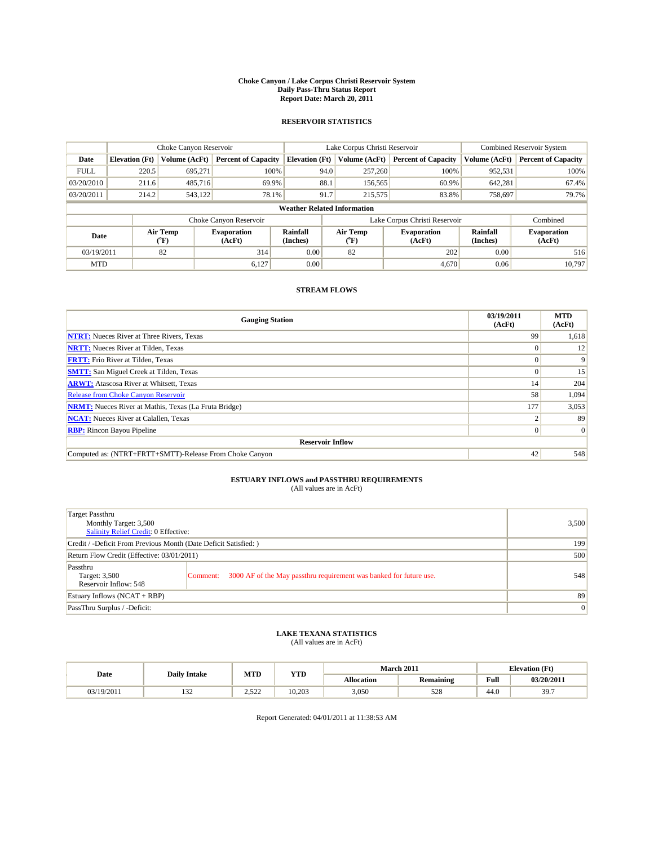#### **Choke Canyon / Lake Corpus Christi Reservoir System Daily Pass-Thru Status Report Report Date: March 20, 2011**

### **RESERVOIR STATISTICS**

|             | Choke Canyon Reservoir             |                  |                              |                       | Lake Corpus Christi Reservoir |                  |                               |                      | <b>Combined Reservoir System</b> |  |  |
|-------------|------------------------------------|------------------|------------------------------|-----------------------|-------------------------------|------------------|-------------------------------|----------------------|----------------------------------|--|--|
| Date        | <b>Elevation</b> (Ft)              | Volume (AcFt)    | <b>Percent of Capacity</b>   | <b>Elevation</b> (Ft) |                               | Volume (AcFt)    | <b>Percent of Capacity</b>    | Volume (AcFt)        | <b>Percent of Capacity</b>       |  |  |
| <b>FULL</b> | 220.5                              | 695.271          | 100%                         |                       | 94.0                          | 257,260          | 100%                          | 952,531              | 100%                             |  |  |
| 03/20/2010  | 211.6                              | 485,716          | 69.9%                        |                       | 88.1                          | 156,565          | 60.9%                         | 642,281              | 67.4%                            |  |  |
| 03/20/2011  | 214.2                              | 543,122          | 78.1%                        |                       | 91.7                          | 215,575          | 83.8%                         | 758,697              | 79.7%                            |  |  |
|             | <b>Weather Related Information</b> |                  |                              |                       |                               |                  |                               |                      |                                  |  |  |
|             |                                    |                  | Choke Canyon Reservoir       |                       |                               |                  | Lake Corpus Christi Reservoir |                      | Combined                         |  |  |
| Date        |                                    | Air Temp<br>(°F) | <b>Evaporation</b><br>(AcFt) | Rainfall<br>(Inches)  |                               | Air Temp<br>("F) | <b>Evaporation</b><br>(AcFt)  | Rainfall<br>(Inches) | <b>Evaporation</b><br>(AcFt)     |  |  |
| 03/19/2011  |                                    | 82               | 314                          | 0.00                  |                               | 82               | 202                           | 0.00                 | 516                              |  |  |
| <b>MTD</b>  |                                    |                  | 6.127                        | 0.00                  |                               |                  | 4.670                         | 0.06                 | 10.797                           |  |  |

## **STREAM FLOWS**

| <b>Gauging Station</b>                                       | 03/19/2011<br>(AcFt) | <b>MTD</b><br>(AcFt) |
|--------------------------------------------------------------|----------------------|----------------------|
| <b>NTRT:</b> Nueces River at Three Rivers, Texas             | 99                   | 1,618                |
| <b>NRTT:</b> Nueces River at Tilden, Texas                   |                      | 12                   |
| <b>FRTT:</b> Frio River at Tilden, Texas                     |                      | 9                    |
| <b>SMTT:</b> San Miguel Creek at Tilden, Texas               |                      | 15                   |
| <b>ARWT:</b> Atascosa River at Whitsett, Texas               | 14                   | 204                  |
| Release from Choke Canyon Reservoir                          | 58                   | 1,094                |
| <b>NRMT:</b> Nueces River at Mathis, Texas (La Fruta Bridge) | 177                  | 3,053                |
| <b>NCAT:</b> Nueces River at Calallen, Texas                 |                      | 89                   |
| <b>RBP:</b> Rincon Bayou Pipeline                            | $\Omega$             | $\Omega$             |
| <b>Reservoir Inflow</b>                                      |                      |                      |
| Computed as: (NTRT+FRTT+SMTT)-Release From Choke Canyon      | 42                   | 548                  |

# **ESTUARY INFLOWS and PASSTHRU REQUIREMENTS**<br>(All values are in AcFt)

| Target Passthru<br>Monthly Target: 3,500<br>Salinity Relief Credit: 0 Effective: |                                                                                | 3,500 |
|----------------------------------------------------------------------------------|--------------------------------------------------------------------------------|-------|
| Credit / -Deficit From Previous Month (Date Deficit Satisfied: )                 | 199                                                                            |       |
| Return Flow Credit (Effective: 03/01/2011)                                       | 500                                                                            |       |
| Passthru<br>Target: 3,500<br>Reservoir Inflow: 548                               | 3000 AF of the May passthru requirement was banked for future use.<br>Comment: | 548   |
| Estuary Inflows (NCAT + RBP)                                                     |                                                                                | 89    |
| PassThru Surplus / -Deficit:                                                     | 0                                                                              |       |

## **LAKE TEXANA STATISTICS** (All values are in AcFt)

| Date       |                     | MTD                       | <b>YTD</b> |                   | <b>March 2011</b> |      | <b>Elevation</b> (Ft) |  |
|------------|---------------------|---------------------------|------------|-------------------|-------------------|------|-----------------------|--|
|            | <b>Daily Intake</b> |                           |            | <b>Allocation</b> | <b>Remaining</b>  | Full | 03/20/2011            |  |
| 03/19/2011 | $\sim$<br>1 J 4     | 50 <sup>o</sup><br>ے بے ب | 10.203     | 3,050             | 528               | 44.0 | 39.7                  |  |

Report Generated: 04/01/2011 at 11:38:53 AM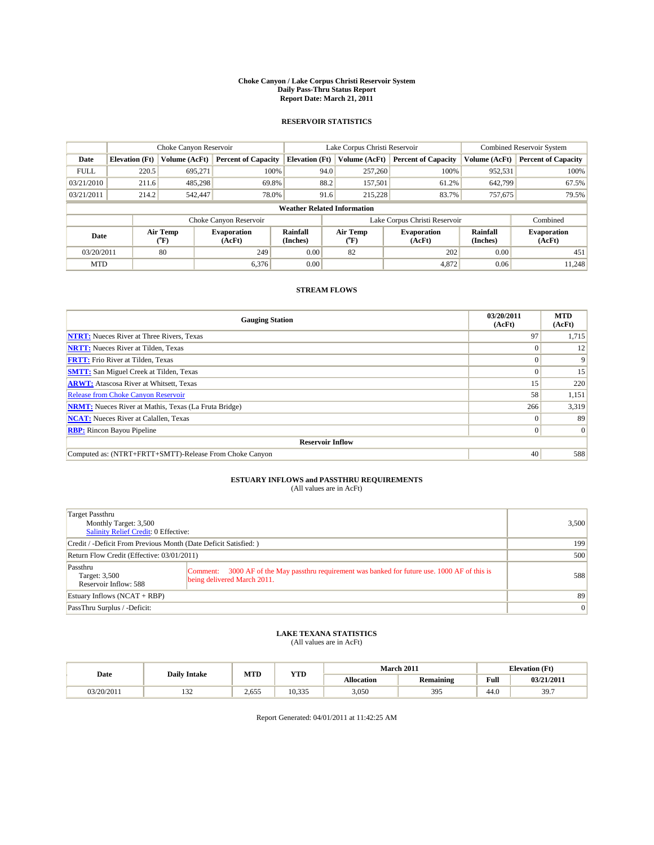#### **Choke Canyon / Lake Corpus Christi Reservoir System Daily Pass-Thru Status Report Report Date: March 21, 2011**

### **RESERVOIR STATISTICS**

|             | Choke Canyon Reservoir             |                                |                              |                             | Lake Corpus Christi Reservoir |                                         |                               |                      | Combined Reservoir System    |  |  |
|-------------|------------------------------------|--------------------------------|------------------------------|-----------------------------|-------------------------------|-----------------------------------------|-------------------------------|----------------------|------------------------------|--|--|
| Date        | <b>Elevation</b> (Ft)              | Volume (AcFt)                  | <b>Percent of Capacity</b>   | <b>Elevation</b> (Ft)       |                               | Volume (AcFt)                           | <b>Percent of Capacity</b>    | Volume (AcFt)        | <b>Percent of Capacity</b>   |  |  |
| <b>FULL</b> | 220.5                              | 695,271                        | 100%                         |                             | 94.0                          | 257,260                                 | 100%                          | 952,531              | 100%                         |  |  |
| 03/21/2010  | 211.6                              | 485.298                        | 69.8%                        |                             | 88.2                          | 157,501                                 | 61.2%                         | 642.799              | 67.5%                        |  |  |
| 03/21/2011  | 214.2                              | 542,447                        | 78.0%                        |                             | 91.6                          | 215,228                                 | 83.7%                         | 757,675              | 79.5%                        |  |  |
|             | <b>Weather Related Information</b> |                                |                              |                             |                               |                                         |                               |                      |                              |  |  |
|             |                                    |                                | Choke Canyon Reservoir       |                             |                               |                                         | Lake Corpus Christi Reservoir |                      | Combined                     |  |  |
| Date        |                                    | Air Temp<br>$({}^o\mathrm{F})$ | <b>Evaporation</b><br>(AcFt) | <b>Rainfall</b><br>(Inches) |                               | Air Temp<br>$(^{\mathrm{o}}\mathrm{F})$ | <b>Evaporation</b><br>(AcFt)  | Rainfall<br>(Inches) | <b>Evaporation</b><br>(AcFt) |  |  |
| 03/20/2011  |                                    | 80                             | 249                          | 0.00                        |                               | 82                                      | 202                           | 0.00                 | 451                          |  |  |
| <b>MTD</b>  |                                    |                                | 6,376                        | 0.00                        |                               |                                         | 4,872                         | 0.06                 | 11.248                       |  |  |

## **STREAM FLOWS**

| <b>Gauging Station</b>                                       | 03/20/2011<br>(AcFt) | <b>MTD</b><br>(AcFt) |
|--------------------------------------------------------------|----------------------|----------------------|
| <b>NTRT:</b> Nueces River at Three Rivers, Texas             | 97                   | 1,715                |
| <b>NRTT:</b> Nueces River at Tilden, Texas                   | $\Omega$             | 12                   |
| <b>FRTT:</b> Frio River at Tilden, Texas                     |                      | 9                    |
| <b>SMTT:</b> San Miguel Creek at Tilden, Texas               |                      | 15                   |
| <b>ARWT:</b> Atascosa River at Whitsett, Texas               | 15                   | 220                  |
| <b>Release from Choke Canyon Reservoir</b>                   | 58                   | 1,151                |
| <b>NRMT:</b> Nueces River at Mathis, Texas (La Fruta Bridge) | 266                  | 3,319                |
| <b>NCAT:</b> Nueces River at Calallen, Texas                 | $\Omega$             | 89                   |
| <b>RBP:</b> Rincon Bayou Pipeline                            | $\overline{0}$       | $\Omega$             |
| <b>Reservoir Inflow</b>                                      |                      |                      |
| Computed as: (NTRT+FRTT+SMTT)-Release From Choke Canyon      | 40                   | 588                  |

# **ESTUARY INFLOWS and PASSTHRU REQUIREMENTS**<br>(All values are in AcFt)

| Target Passthru<br>Monthly Target: 3,500<br><b>Salinity Relief Credit: 0 Effective:</b> |                                                                                                                                  | 3,500 |
|-----------------------------------------------------------------------------------------|----------------------------------------------------------------------------------------------------------------------------------|-------|
| Credit / -Deficit From Previous Month (Date Deficit Satisfied: )                        |                                                                                                                                  | 199   |
| Return Flow Credit (Effective: 03/01/2011)                                              | 500                                                                                                                              |       |
| Passthru<br>Target: 3,500<br>Reservoir Inflow: 588                                      | 3000 AF of the May passthru requirement was banked for future use. 1000 AF of this is<br>Comment:<br>being delivered March 2011. | 588   |
| Estuary Inflows $(NCAT + RBP)$                                                          | 89                                                                                                                               |       |
| PassThru Surplus / -Deficit:                                                            |                                                                                                                                  | 0     |

## **LAKE TEXANA STATISTICS** (All values are in AcFt)

| Date       |                     | MTD   | <b>YTD</b> | <b>March 2011</b> |                  |      | <b>Elevation</b> (Ft) |  |
|------------|---------------------|-------|------------|-------------------|------------------|------|-----------------------|--|
|            | <b>Daily Intake</b> |       |            | <b>Allocation</b> | <b>Remaining</b> | Full | 03/21/2011            |  |
| 03/20/2011 | $\sim$<br>1 J 4     | 2.655 | 10.335     | 3,050             | 395              | 44.0 | 39.7                  |  |

Report Generated: 04/01/2011 at 11:42:25 AM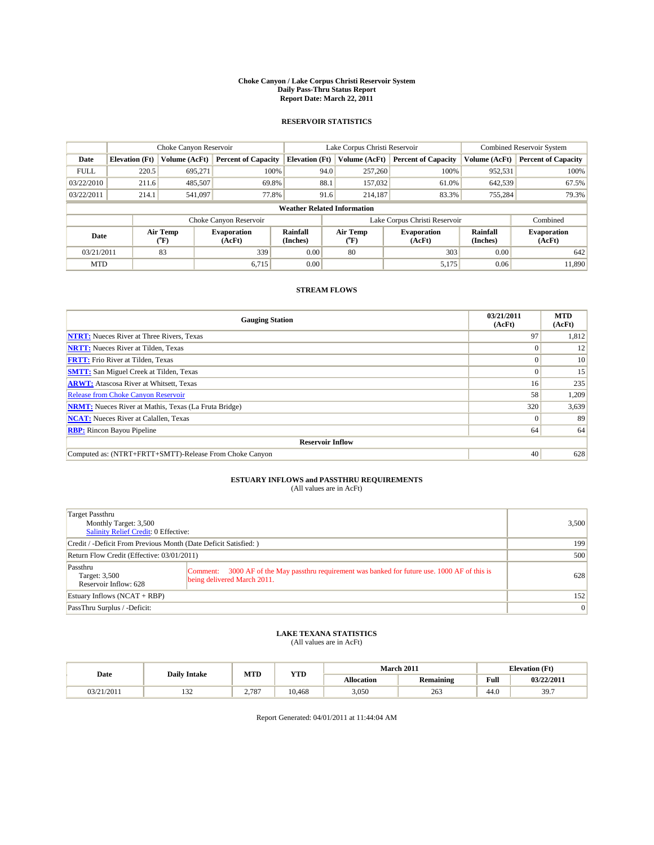#### **Choke Canyon / Lake Corpus Christi Reservoir System Daily Pass-Thru Status Report Report Date: March 22, 2011**

### **RESERVOIR STATISTICS**

|             | Choke Canyon Reservoir             |                  |                              |                       | Lake Corpus Christi Reservoir |                  |                              |                      | <b>Combined Reservoir System</b> |  |  |
|-------------|------------------------------------|------------------|------------------------------|-----------------------|-------------------------------|------------------|------------------------------|----------------------|----------------------------------|--|--|
| Date        | <b>Elevation</b> (Ft)              | Volume (AcFt)    | <b>Percent of Capacity</b>   | <b>Elevation</b> (Ft) |                               | Volume (AcFt)    | <b>Percent of Capacity</b>   | Volume (AcFt)        | <b>Percent of Capacity</b>       |  |  |
| <b>FULL</b> | 220.5                              | 695.271          | 100%                         |                       | 94.0                          | 257,260          | 100%                         | 952,531              | 100%                             |  |  |
| 03/22/2010  | 211.6                              | 485,507          | 69.8%                        |                       | 88.1                          | 157,032          | 61.0%                        | 642,539              | 67.5%                            |  |  |
| 03/22/2011  | 214.1                              | 541,097          | 77.8%                        |                       | 91.6                          | 214,187          | 83.3%                        | 755,284              | 79.3%                            |  |  |
|             | <b>Weather Related Information</b> |                  |                              |                       |                               |                  |                              |                      |                                  |  |  |
|             |                                    |                  | Choke Canyon Reservoir       |                       | Lake Corpus Christi Reservoir |                  |                              |                      | Combined                         |  |  |
| Date        |                                    | Air Temp<br>(°F) | <b>Evaporation</b><br>(AcFt) | Rainfall<br>(Inches)  |                               | Air Temp<br>("F) | <b>Evaporation</b><br>(AcFt) | Rainfall<br>(Inches) | <b>Evaporation</b><br>(AcFt)     |  |  |
| 03/21/2011  |                                    | 83               | 339                          | 0.00                  |                               | 80               | 303                          | 0.00                 | 642                              |  |  |
| <b>MTD</b>  |                                    |                  | 6.715                        | 0.00                  |                               |                  | 5,175                        | 0.06                 | 11.890                           |  |  |

## **STREAM FLOWS**

| <b>Gauging Station</b>                                       | 03/21/2011<br>(AcFt) | <b>MTD</b><br>(AcFt) |
|--------------------------------------------------------------|----------------------|----------------------|
| <b>NTRT:</b> Nueces River at Three Rivers, Texas             | 97                   | 1,812                |
| <b>NRTT:</b> Nueces River at Tilden, Texas                   | $\Omega$             | 12                   |
| <b>FRTT:</b> Frio River at Tilden, Texas                     |                      | 10                   |
| <b>SMTT:</b> San Miguel Creek at Tilden, Texas               | $\Omega$             | 15                   |
| <b>ARWT:</b> Atascosa River at Whitsett, Texas               | 16 <sup>1</sup>      | 235                  |
| <b>Release from Choke Canyon Reservoir</b>                   | 58                   | 1,209                |
| <b>NRMT:</b> Nueces River at Mathis, Texas (La Fruta Bridge) | 320                  | 3,639                |
| <b>NCAT:</b> Nueces River at Calallen, Texas                 | $\Omega$             | 89                   |
| <b>RBP:</b> Rincon Bayou Pipeline                            | 64                   | 64                   |
| <b>Reservoir Inflow</b>                                      |                      |                      |
| Computed as: (NTRT+FRTT+SMTT)-Release From Choke Canyon      | 40                   | 628                  |

## **ESTUARY INFLOWS and PASSTHRU REQUIREMENTS**<br>(All values are in AcFt)

| Target Passthru<br>Monthly Target: 3,500<br><b>Salinity Relief Credit: 0 Effective:</b> |                                                                                                                                  | 3,500    |
|-----------------------------------------------------------------------------------------|----------------------------------------------------------------------------------------------------------------------------------|----------|
| Credit / -Deficit From Previous Month (Date Deficit Satisfied: )                        | 199                                                                                                                              |          |
| Return Flow Credit (Effective: 03/01/2011)                                              | 500                                                                                                                              |          |
| Passthru<br>Target: 3,500<br>Reservoir Inflow: 628                                      | 3000 AF of the May passthru requirement was banked for future use. 1000 AF of this is<br>Comment:<br>being delivered March 2011. | 628      |
| Estuary Inflows $(NCAT + RBP)$                                                          | 152                                                                                                                              |          |
| PassThru Surplus / -Deficit:                                                            |                                                                                                                                  | $\Omega$ |

## **LAKE TEXANA STATISTICS** (All values are in AcFt)

| Date       | <b>Daily Intake</b> | MTD   | <b>YTD</b> |            | <b>March 2011</b> | <b>Elevation</b> (Ft) |            |
|------------|---------------------|-------|------------|------------|-------------------|-----------------------|------------|
|            |                     |       |            | Allocation | <b>Remaining</b>  | Full                  | 03/22/2011 |
| 03/21/2011 | $\sim$<br>1.JZ      | 2.787 | 10.468     | 3,050      | 263               | $\sqrt{ }$<br>44.0    | 39.7       |

Report Generated: 04/01/2011 at 11:44:04 AM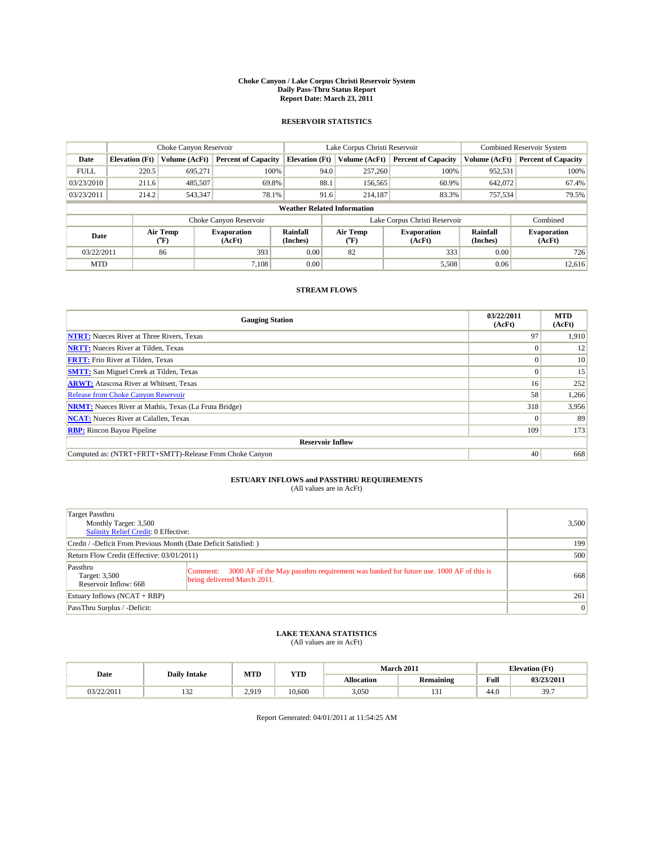#### **Choke Canyon / Lake Corpus Christi Reservoir System Daily Pass-Thru Status Report Report Date: March 23, 2011**

### **RESERVOIR STATISTICS**

|             | Choke Canyon Reservoir             |                                |                              |                             | Lake Corpus Christi Reservoir |                                |                              |                      | <b>Combined Reservoir System</b> |  |  |
|-------------|------------------------------------|--------------------------------|------------------------------|-----------------------------|-------------------------------|--------------------------------|------------------------------|----------------------|----------------------------------|--|--|
| Date        | <b>Elevation</b> (Ft)              | Volume (AcFt)                  | <b>Percent of Capacity</b>   | <b>Elevation</b> (Ft)       |                               | Volume (AcFt)                  | <b>Percent of Capacity</b>   | Volume (AcFt)        | <b>Percent of Capacity</b>       |  |  |
| <b>FULL</b> | 220.5                              | 695.271                        | 100%                         |                             | 94.0                          | 257,260                        | 100%                         | 952,531              | 100%                             |  |  |
| 03/23/2010  | 211.6                              | 485,507                        | 69.8%                        |                             | 88.1                          | 156,565                        | 60.9%                        | 642,072              | 67.4%                            |  |  |
| 03/23/2011  | 214.2                              | 543,347                        | 78.1%                        |                             | 91.6                          | 214,187                        | 83.3%                        | 757,534              | 79.5%                            |  |  |
|             | <b>Weather Related Information</b> |                                |                              |                             |                               |                                |                              |                      |                                  |  |  |
|             |                                    |                                | Choke Canyon Reservoir       |                             | Lake Corpus Christi Reservoir |                                |                              | Combined             |                                  |  |  |
| Date        |                                    | Air Temp<br>$({}^o\mathrm{F})$ | <b>Evaporation</b><br>(AcFt) | <b>Rainfall</b><br>(Inches) |                               | Air Temp<br>$({}^o\mathrm{F})$ | <b>Evaporation</b><br>(AcFt) | Rainfall<br>(Inches) | <b>Evaporation</b><br>(AcFt)     |  |  |
| 03/22/2011  |                                    | 86                             | 393                          | 0.00                        |                               | 82                             | 333                          | 0.00                 | 726                              |  |  |
| <b>MTD</b>  |                                    |                                | 7.108                        | 0.00                        |                               |                                | 5,508                        | 0.06                 | 12.616                           |  |  |

### **STREAM FLOWS**

| <b>Gauging Station</b>                                       | 03/22/2011<br>(AcFt) | <b>MTD</b><br>(AcFt) |
|--------------------------------------------------------------|----------------------|----------------------|
| <b>NTRT:</b> Nueces River at Three Rivers, Texas             | 97                   | 1,910                |
| <b>NRTT:</b> Nueces River at Tilden, Texas                   | $\Omega$             | 12                   |
| <b>FRTT:</b> Frio River at Tilden, Texas                     |                      | 10                   |
| <b>SMTT:</b> San Miguel Creek at Tilden, Texas               | $\Omega$             | 15                   |
| <b>ARWT:</b> Atascosa River at Whitsett, Texas               | 16 <sup>1</sup>      | 252                  |
| <b>Release from Choke Canyon Reservoir</b>                   | 58                   | 1,266                |
| <b>NRMT:</b> Nueces River at Mathis, Texas (La Fruta Bridge) | 318                  | 3,956                |
| <b>NCAT:</b> Nueces River at Calallen, Texas                 | $\Omega$             | 89                   |
| <b>RBP:</b> Rincon Bayou Pipeline                            | 109                  | 173                  |
| <b>Reservoir Inflow</b>                                      |                      |                      |
| Computed as: (NTRT+FRTT+SMTT)-Release From Choke Canyon      | 40                   | 668                  |

# **ESTUARY INFLOWS and PASSTHRU REQUIREMENTS**<br>(All values are in AcFt)

| Target Passthru<br>Monthly Target: 3,500<br><b>Salinity Relief Credit: 0 Effective:</b> |                                                                                                                                  | 3,500 |
|-----------------------------------------------------------------------------------------|----------------------------------------------------------------------------------------------------------------------------------|-------|
| Credit / -Deficit From Previous Month (Date Deficit Satisfied: )                        |                                                                                                                                  | 199   |
| Return Flow Credit (Effective: 03/01/2011)                                              | 500                                                                                                                              |       |
| Passthru<br>Target: 3,500<br>Reservoir Inflow: 668                                      | 3000 AF of the May passthru requirement was banked for future use. 1000 AF of this is<br>Comment:<br>being delivered March 2011. | 668   |
| Estuary Inflows $(NCAT + RBP)$                                                          |                                                                                                                                  | 261   |
| PassThru Surplus / -Deficit:                                                            |                                                                                                                                  | 0     |

## **LAKE TEXANA STATISTICS** (All values are in AcFt)

| Date       | <b>Daily Intake</b> | MTD   | <b>YTD</b> |            | March 2011    | <b>Elevation</b> (Ft)                              |            |
|------------|---------------------|-------|------------|------------|---------------|----------------------------------------------------|------------|
|            |                     |       |            | Allocation | Remaining     | <b>Full</b><br>the contract of the contract of the | 03/23/2011 |
| 03/22/2011 | $\sim$<br>1.JZ      | 2.919 | 10.600     | 3,050      | $\sim$<br>121 | 44.0                                               | 39.7       |

Report Generated: 04/01/2011 at 11:54:25 AM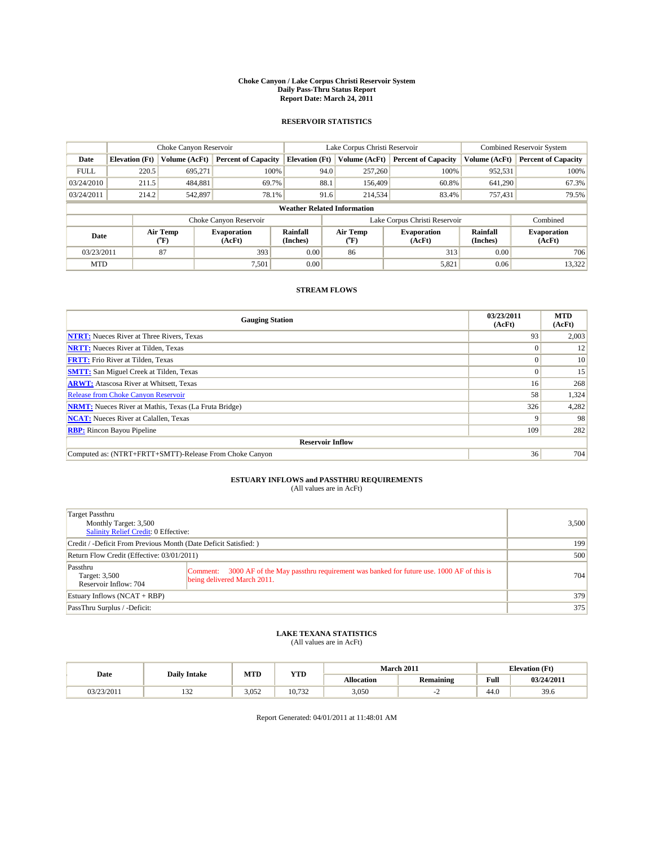#### **Choke Canyon / Lake Corpus Christi Reservoir System Daily Pass-Thru Status Report Report Date: March 24, 2011**

### **RESERVOIR STATISTICS**

|             | Choke Canyon Reservoir             |                  |                              |                             | Lake Corpus Christi Reservoir | <b>Combined Reservoir System</b> |                      |                              |  |  |  |
|-------------|------------------------------------|------------------|------------------------------|-----------------------------|-------------------------------|----------------------------------|----------------------|------------------------------|--|--|--|
| Date        | <b>Elevation</b> (Ft)              | Volume (AcFt)    | <b>Percent of Capacity</b>   | <b>Elevation</b> (Ft)       | Volume (AcFt)                 | <b>Percent of Capacity</b>       | Volume (AcFt)        | <b>Percent of Capacity</b>   |  |  |  |
| <b>FULL</b> | 220.5                              | 695,271          | 100%                         | 94.0                        | 257,260                       | 100%                             | 952,531              | 100%                         |  |  |  |
| 03/24/2010  | 211.5                              | 484,881          | 69.7%                        | 88.1                        | 156,409                       | 60.8%                            | 641,290              | 67.3%                        |  |  |  |
| 03/24/2011  | 214.2                              | 542,897          | 78.1%                        | 91.6                        | 214,534                       | 83.4%                            | 757,431              | 79.5%                        |  |  |  |
|             | <b>Weather Related Information</b> |                  |                              |                             |                               |                                  |                      |                              |  |  |  |
|             |                                    |                  | Choke Canyon Reservoir       |                             | Lake Corpus Christi Reservoir |                                  |                      | Combined                     |  |  |  |
| Date        |                                    | Air Temp<br>(°F) | <b>Evaporation</b><br>(AcFt) | <b>Rainfall</b><br>(Inches) | Air Temp<br>("F)              | <b>Evaporation</b><br>(AcFt)     | Rainfall<br>(Inches) | <b>Evaporation</b><br>(AcFt) |  |  |  |
| 03/23/2011  |                                    | 87               | 393                          | 0.00                        | 86                            | 313                              | 0.00                 | 706                          |  |  |  |
| <b>MTD</b>  |                                    |                  | 7,501                        | 0.00                        |                               | 5,821                            | 0.06                 | 13,322                       |  |  |  |

## **STREAM FLOWS**

| <b>Gauging Station</b>                                       | 03/23/2011<br>(AcFt) | <b>MTD</b><br>(AcFt) |
|--------------------------------------------------------------|----------------------|----------------------|
| <b>NTRT:</b> Nueces River at Three Rivers, Texas             | 93                   | 2,003                |
| <b>NRTT:</b> Nueces River at Tilden, Texas                   | $\Omega$             | 12                   |
| <b>FRTT:</b> Frio River at Tilden, Texas                     |                      | 10                   |
| <b>SMTT:</b> San Miguel Creek at Tilden, Texas               | $\Omega$             | 15                   |
| <b>ARWT:</b> Atascosa River at Whitsett, Texas               | 16 <sup>1</sup>      | 268                  |
| <b>Release from Choke Canyon Reservoir</b>                   | 58                   | 1,324                |
| <b>NRMT:</b> Nueces River at Mathis, Texas (La Fruta Bridge) | 326                  | 4,282                |
| <b>NCAT:</b> Nueces River at Calallen, Texas                 | q                    | 98                   |
| <b>RBP:</b> Rincon Bayou Pipeline                            | 109                  | 282                  |
| <b>Reservoir Inflow</b>                                      |                      |                      |
| Computed as: (NTRT+FRTT+SMTT)-Release From Choke Canyon      | 36                   | 704                  |

# **ESTUARY INFLOWS and PASSTHRU REQUIREMENTS**<br>(All values are in AcFt)

| Target Passthru<br>Monthly Target: 3,500<br><b>Salinity Relief Credit: 0 Effective:</b> |                                                                                                                                  | 3.500 |
|-----------------------------------------------------------------------------------------|----------------------------------------------------------------------------------------------------------------------------------|-------|
| Credit / -Deficit From Previous Month (Date Deficit Satisfied: )                        | 199                                                                                                                              |       |
| Return Flow Credit (Effective: 03/01/2011)                                              | 500                                                                                                                              |       |
| Passthru<br>Target: 3,500<br>Reservoir Inflow: 704                                      | 3000 AF of the May passthru requirement was banked for future use. 1000 AF of this is<br>Comment:<br>being delivered March 2011. | 704   |
| Estuary Inflows $(NCAT + RBP)$                                                          |                                                                                                                                  | 379   |
| PassThru Surplus / -Deficit:                                                            |                                                                                                                                  | 375   |

## **LAKE TEXANA STATISTICS** (All values are in AcFt)

| Date       | <b>Daily Intake</b> | MTD   | <b>YTD</b> | March 2011 |           | <b>Elevation</b> (Ft) |            |
|------------|---------------------|-------|------------|------------|-----------|-----------------------|------------|
|            |                     |       |            | Allocation | Remaining | <b>Full</b>           | 03/24/2011 |
| 03/23/2011 | $\sim$<br>1.JZ      | 3.052 | 10.732     | 3,050      |           | 44.0                  | 39.6       |

Report Generated: 04/01/2011 at 11:48:01 AM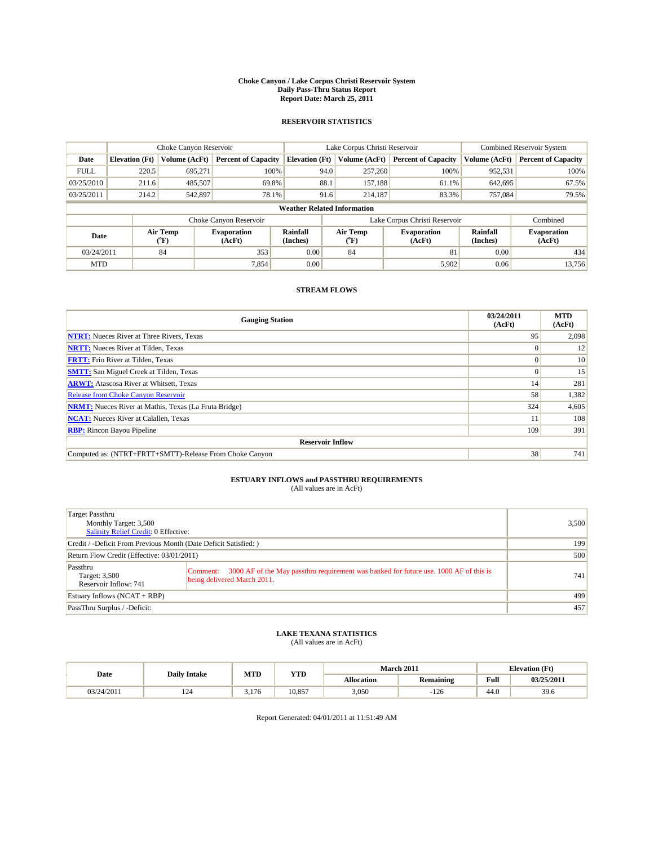#### **Choke Canyon / Lake Corpus Christi Reservoir System Daily Pass-Thru Status Report Report Date: March 25, 2011**

### **RESERVOIR STATISTICS**

|             | Choke Canyon Reservoir             |                  |                              |                       | Lake Corpus Christi Reservoir |                  |                               |                      | <b>Combined Reservoir System</b> |  |  |
|-------------|------------------------------------|------------------|------------------------------|-----------------------|-------------------------------|------------------|-------------------------------|----------------------|----------------------------------|--|--|
| Date        | <b>Elevation</b> (Ft)              | Volume (AcFt)    | <b>Percent of Capacity</b>   | <b>Elevation</b> (Ft) |                               | Volume (AcFt)    | <b>Percent of Capacity</b>    | Volume (AcFt)        | <b>Percent of Capacity</b>       |  |  |
| <b>FULL</b> | 220.5                              | 695,271          | 100%                         |                       | 94.0                          | 257,260          | 100%                          | 952,531              | 100%                             |  |  |
| 03/25/2010  | 211.6                              | 485,507          | 69.8%                        |                       | 88.1                          | 157,188          | 61.1%                         | 642,695              | 67.5%                            |  |  |
| 03/25/2011  | 214.2                              | 542,897          | 78.1%                        |                       | 91.6                          | 214,187          | 83.3%                         | 757,084              | 79.5%                            |  |  |
|             | <b>Weather Related Information</b> |                  |                              |                       |                               |                  |                               |                      |                                  |  |  |
|             |                                    |                  | Choke Canyon Reservoir       |                       |                               |                  | Lake Corpus Christi Reservoir |                      | Combined                         |  |  |
| Date        |                                    | Air Temp<br>(°F) | <b>Evaporation</b><br>(AcFt) | Rainfall<br>(Inches)  |                               | Air Temp<br>("F) | <b>Evaporation</b><br>(AcFt)  | Rainfall<br>(Inches) | <b>Evaporation</b><br>(AcFt)     |  |  |
| 03/24/2011  |                                    | 84               | 353                          | 0.00                  |                               | 84               | 81                            | 0.00                 | 434                              |  |  |
| <b>MTD</b>  |                                    |                  | 7,854                        | 0.00                  |                               |                  | 5,902                         | 0.06                 | 13.756                           |  |  |

## **STREAM FLOWS**

| <b>Gauging Station</b>                                       | 03/24/2011<br>(AcFt) | <b>MTD</b><br>(AcFt) |
|--------------------------------------------------------------|----------------------|----------------------|
| <b>NTRT:</b> Nueces River at Three Rivers, Texas             | 95                   | 2,098                |
| <b>NRTT:</b> Nueces River at Tilden, Texas                   |                      | 12                   |
| <b>FRTT:</b> Frio River at Tilden, Texas                     |                      | 10                   |
| <b>SMTT:</b> San Miguel Creek at Tilden, Texas               |                      | 15                   |
| <b>ARWT:</b> Atascosa River at Whitsett, Texas               | 14                   | 281                  |
| <b>Release from Choke Canyon Reservoir</b>                   | 58                   | 1,382                |
| <b>NRMT:</b> Nueces River at Mathis, Texas (La Fruta Bridge) | 324                  | 4,605                |
| <b>NCAT:</b> Nueces River at Calallen, Texas                 |                      | 108                  |
| <b>RBP:</b> Rincon Bayou Pipeline                            | 109                  | 391                  |
| <b>Reservoir Inflow</b>                                      |                      |                      |
| Computed as: (NTRT+FRTT+SMTT)-Release From Choke Canyon      | 38                   | 741                  |

## **ESTUARY INFLOWS and PASSTHRU REQUIREMENTS**<br>(All values are in AcFt)

| Target Passthru<br>Monthly Target: 3,500<br>Salinity Relief Credit: 0 Effective: |                                                                                                                                   | 3,500 |
|----------------------------------------------------------------------------------|-----------------------------------------------------------------------------------------------------------------------------------|-------|
| Credit / -Deficit From Previous Month (Date Deficit Satisfied: )                 | 199                                                                                                                               |       |
| Return Flow Credit (Effective: 03/01/2011)                                       | 500                                                                                                                               |       |
| Passthru<br>Target: 3,500<br>Reservoir Inflow: 741                               | 3000 AF of the May passthru requirement was banked for future use. 1000 AF of this is<br> Comment:<br>being delivered March 2011. | 741   |
| Estuary Inflows $(NCAT + RBP)$                                                   | 499                                                                                                                               |       |
| PassThru Surplus / -Deficit:                                                     |                                                                                                                                   | 457   |

## **LAKE TEXANA STATISTICS** (All values are in AcFt)

| Date       | <b>Daily Intake</b> | MTD   | <b>YTD</b> | <b>March 2011</b> |                  |      | <b>Elevation</b> (Ft) |  |
|------------|---------------------|-------|------------|-------------------|------------------|------|-----------------------|--|
|            |                     |       |            | Allocation        | <b>Remaining</b> | Full | 03/25/2011            |  |
| 03/24/2011 | $\sim$<br>124       | 3.176 | 10.857     | 3,050             | $-126$           | 44.0 | 39.6                  |  |

Report Generated: 04/01/2011 at 11:51:49 AM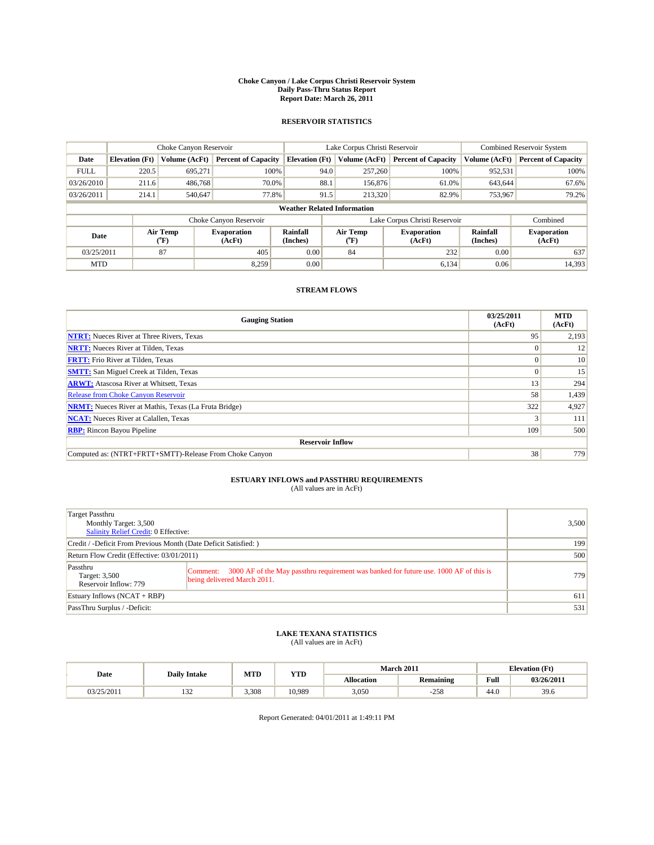#### **Choke Canyon / Lake Corpus Christi Reservoir System Daily Pass-Thru Status Report Report Date: March 26, 2011**

### **RESERVOIR STATISTICS**

|             | Choke Canyon Reservoir             |                  |                              |                       | Lake Corpus Christi Reservoir |                  |                               |                      | Combined Reservoir System    |  |  |
|-------------|------------------------------------|------------------|------------------------------|-----------------------|-------------------------------|------------------|-------------------------------|----------------------|------------------------------|--|--|
| Date        | <b>Elevation</b> (Ft)              | Volume (AcFt)    | <b>Percent of Capacity</b>   | <b>Elevation (Ft)</b> |                               | Volume (AcFt)    | <b>Percent of Capacity</b>    | Volume (AcFt)        | <b>Percent of Capacity</b>   |  |  |
| <b>FULL</b> | 220.5                              | 695,271          | 100%                         |                       | 94.0                          | 257,260          | 100%                          | 952,531              | 100%                         |  |  |
| 03/26/2010  | 211.6                              | 486,768          | 70.0%                        |                       | 88.1                          | 156,876          | 61.0%                         | 643,644              | 67.6%                        |  |  |
| 03/26/2011  | 214.1                              | 540,647          | 77.8%                        |                       | 91.5                          | 213,320          | 82.9%                         | 753,967              | 79.2%                        |  |  |
|             | <b>Weather Related Information</b> |                  |                              |                       |                               |                  |                               |                      |                              |  |  |
|             |                                    |                  | Choke Canyon Reservoir       |                       |                               |                  | Lake Corpus Christi Reservoir |                      | Combined                     |  |  |
| Date        |                                    | Air Temp<br>(°F) | <b>Evaporation</b><br>(AcFt) | Rainfall<br>(Inches)  |                               | Air Temp<br>("F) | <b>Evaporation</b><br>(AcFt)  | Rainfall<br>(Inches) | <b>Evaporation</b><br>(AcFt) |  |  |
| 03/25/2011  |                                    | 87               | 405                          | 0.00                  |                               | 84               | 232                           | 0.00                 | 637                          |  |  |
| <b>MTD</b>  |                                    |                  | 8.259                        | 0.00                  |                               |                  | 6,134                         | 0.06                 | 14,393                       |  |  |

### **STREAM FLOWS**

| <b>Gauging Station</b>                                       | 03/25/2011<br>(AcFt) | <b>MTD</b><br>(AcFt) |
|--------------------------------------------------------------|----------------------|----------------------|
| <b>NTRT:</b> Nueces River at Three Rivers, Texas             | 95                   | 2,193                |
| <b>NRTT:</b> Nueces River at Tilden, Texas                   |                      | 12                   |
| <b>FRTT:</b> Frio River at Tilden, Texas                     |                      | 10                   |
| <b>SMTT:</b> San Miguel Creek at Tilden, Texas               |                      | 15                   |
| <b>ARWT:</b> Atascosa River at Whitsett, Texas               | 13                   | 294                  |
| <b>Release from Choke Canyon Reservoir</b>                   | 58                   | 1,439                |
| <b>NRMT:</b> Nueces River at Mathis, Texas (La Fruta Bridge) | 322                  | 4,927                |
| <b>NCAT:</b> Nueces River at Calallen, Texas                 |                      | 111                  |
| <b>RBP:</b> Rincon Bayou Pipeline                            | 109                  | 500                  |
| <b>Reservoir Inflow</b>                                      |                      |                      |
| Computed as: (NTRT+FRTT+SMTT)-Release From Choke Canyon      | 38                   | 779                  |

## **ESTUARY INFLOWS and PASSTHRU REQUIREMENTS**<br>(All values are in AcFt)

| Target Passthru<br>Monthly Target: 3,500<br><b>Salinity Relief Credit: 0 Effective:</b> |                                                                                                                                  | 3,500 |
|-----------------------------------------------------------------------------------------|----------------------------------------------------------------------------------------------------------------------------------|-------|
| Credit / -Deficit From Previous Month (Date Deficit Satisfied: )                        | 199                                                                                                                              |       |
| Return Flow Credit (Effective: 03/01/2011)                                              | 500                                                                                                                              |       |
| Passthru<br>Target: 3,500<br>Reservoir Inflow: 779                                      | 3000 AF of the May passthru requirement was banked for future use. 1000 AF of this is<br>Comment:<br>being delivered March 2011. | 779   |
| Estuary Inflows $(NCAT + RBP)$                                                          |                                                                                                                                  | 611   |
| PassThru Surplus / -Deficit:                                                            |                                                                                                                                  | 531   |

## **LAKE TEXANA STATISTICS** (All values are in AcFt)

| Date       | <b>Daily Intake</b> | MTD   | <b>YTD</b> |                   | <b>March 2011</b> | <b>Elevation</b> (Ft) |            |
|------------|---------------------|-------|------------|-------------------|-------------------|-----------------------|------------|
|            |                     |       |            | <b>Allocation</b> | <b>Remaining</b>  | Full                  | 03/26/2011 |
| 03/25/2011 | $\sim$<br>1 J 4     | 3.308 | 10.989     | 3,050             | $-258$            | 44.0                  | 39.6       |

Report Generated: 04/01/2011 at 1:49:11 PM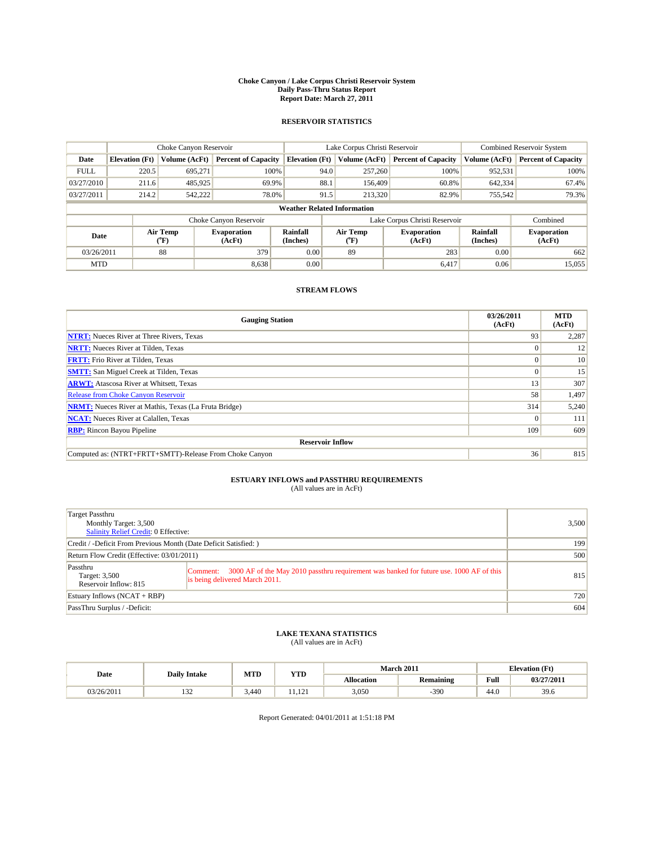#### **Choke Canyon / Lake Corpus Christi Reservoir System Daily Pass-Thru Status Report Report Date: March 27, 2011**

### **RESERVOIR STATISTICS**

|             | Choke Canyon Reservoir             |                  |                              |                             | Lake Corpus Christi Reservoir | <b>Combined Reservoir System</b> |                      |                              |  |  |  |
|-------------|------------------------------------|------------------|------------------------------|-----------------------------|-------------------------------|----------------------------------|----------------------|------------------------------|--|--|--|
| Date        | <b>Elevation</b> (Ft)              | Volume (AcFt)    | <b>Percent of Capacity</b>   | <b>Elevation</b> (Ft)       | Volume (AcFt)                 | <b>Percent of Capacity</b>       | Volume (AcFt)        | <b>Percent of Capacity</b>   |  |  |  |
| <b>FULL</b> | 220.5                              | 695,271          | 100%                         | 94.0                        | 257,260                       | 100%                             | 952,531              | 100%                         |  |  |  |
| 03/27/2010  | 211.6                              | 485,925          | 69.9%                        | 88.1                        | 156,409                       | 60.8%                            | 642,334              | 67.4%                        |  |  |  |
| 03/27/2011  | 214.2                              | 542,222          | 78.0%                        | 91.5                        | 213,320                       | 82.9%                            | 755,542              | 79.3%                        |  |  |  |
|             | <b>Weather Related Information</b> |                  |                              |                             |                               |                                  |                      |                              |  |  |  |
|             |                                    |                  | Choke Canyon Reservoir       |                             |                               | Lake Corpus Christi Reservoir    |                      | Combined                     |  |  |  |
| Date        |                                    | Air Temp<br>(°F) | <b>Evaporation</b><br>(AcFt) | <b>Rainfall</b><br>(Inches) | Air Temp<br>(°F)              | <b>Evaporation</b><br>(AcFt)     | Rainfall<br>(Inches) | <b>Evaporation</b><br>(AcFt) |  |  |  |
| 03/26/2011  |                                    | 88               | 379                          | 0.00                        | 89                            | 283                              | 0.00                 | 662                          |  |  |  |
| <b>MTD</b>  |                                    |                  | 8,638                        | 0.00                        |                               | 6,417                            | 0.06                 | 15,055                       |  |  |  |

## **STREAM FLOWS**

| <b>Gauging Station</b>                                       | 03/26/2011<br>(AcFt) | <b>MTD</b><br>(AcFt) |
|--------------------------------------------------------------|----------------------|----------------------|
| <b>NTRT:</b> Nueces River at Three Rivers, Texas             | 93                   | 2,287                |
| <b>NRTT:</b> Nueces River at Tilden, Texas                   | $\Omega$             | 12                   |
| <b>FRTT:</b> Frio River at Tilden, Texas                     |                      | 10                   |
| <b>SMTT:</b> San Miguel Creek at Tilden, Texas               | $\Omega$             | 15                   |
| <b>ARWT:</b> Atascosa River at Whitsett, Texas               | 13                   | 307                  |
| <b>Release from Choke Canyon Reservoir</b>                   | 58                   | 1,497                |
| <b>NRMT:</b> Nueces River at Mathis, Texas (La Fruta Bridge) | 314                  | 5,240                |
| <b>NCAT:</b> Nueces River at Calallen, Texas                 | $\Omega$             | 111                  |
| <b>RBP:</b> Rincon Bayou Pipeline                            | 109                  | 609                  |
| <b>Reservoir Inflow</b>                                      |                      |                      |
| Computed as: (NTRT+FRTT+SMTT)-Release From Choke Canyon      | 36                   | 815                  |

# **ESTUARY INFLOWS and PASSTHRU REQUIREMENTS**<br>(All values are in AcFt)

| Target Passthru<br>Monthly Target: 3,500<br>Salinity Relief Credit: 0 Effective: |                                                                                                                                       | 3,500 |
|----------------------------------------------------------------------------------|---------------------------------------------------------------------------------------------------------------------------------------|-------|
| Credit / -Deficit From Previous Month (Date Deficit Satisfied: )                 | 199                                                                                                                                   |       |
| Return Flow Credit (Effective: 03/01/2011)                                       | 500                                                                                                                                   |       |
| Passthru<br>Target: 3,500<br>Reservoir Inflow: 815                               | 3000 AF of the May 2010 passthru requirement was banked for future use. 1000 AF of this<br>Comment:<br>is being delivered March 2011. | 815   |
| Estuary Inflows $(NCAT + RBP)$                                                   |                                                                                                                                       | 720   |
| PassThru Surplus / -Deficit:                                                     |                                                                                                                                       | 604   |

## **LAKE TEXANA STATISTICS** (All values are in AcFt)

| Date       | <b>Daily Intake</b> | MTD   | <b>YTD</b>   |            | <b>March 2011</b> | <b>Elevation</b> (Ft) |            |
|------------|---------------------|-------|--------------|------------|-------------------|-----------------------|------------|
|            |                     |       |              | Allocation | <b>Remaining</b>  | Full                  | 03/27/2011 |
| 03/26/2011 | $\sim$<br>1.JZ      | 3.440 | 101<br>1.121 | 3,050      | 390               | 44.0                  | 39.6       |

Report Generated: 04/01/2011 at 1:51:18 PM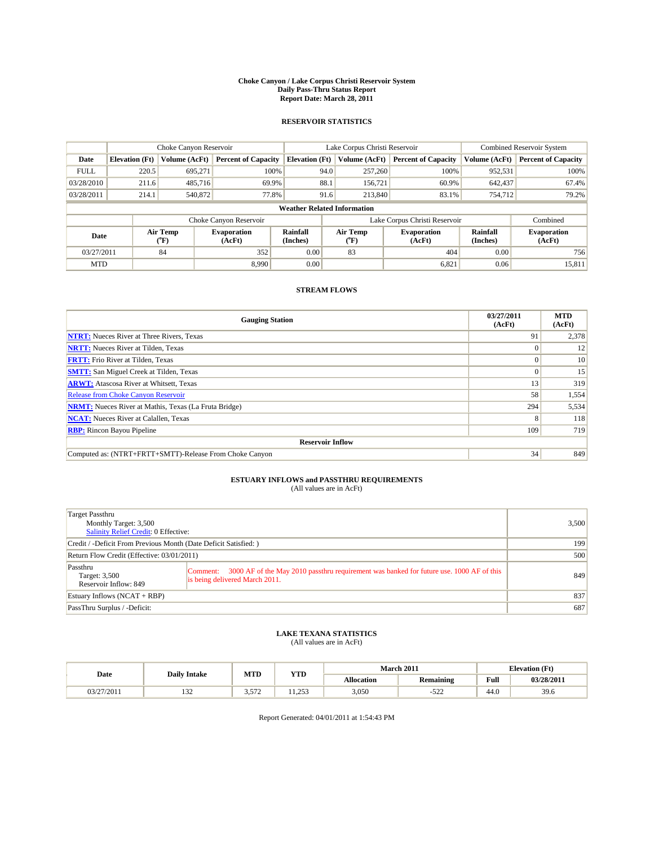#### **Choke Canyon / Lake Corpus Christi Reservoir System Daily Pass-Thru Status Report Report Date: March 28, 2011**

### **RESERVOIR STATISTICS**

|             | Choke Canyon Reservoir             |                  |                              |                             | Lake Corpus Christi Reservoir | <b>Combined Reservoir System</b> |                      |                              |  |  |  |
|-------------|------------------------------------|------------------|------------------------------|-----------------------------|-------------------------------|----------------------------------|----------------------|------------------------------|--|--|--|
| Date        | <b>Elevation</b> (Ft)              | Volume (AcFt)    | <b>Percent of Capacity</b>   | <b>Elevation</b> (Ft)       | Volume (AcFt)                 | <b>Percent of Capacity</b>       | Volume (AcFt)        | <b>Percent of Capacity</b>   |  |  |  |
| <b>FULL</b> | 220.5                              | 695,271          | 100%                         | 94.0                        | 257,260                       | 100%                             | 952,531              | 100%                         |  |  |  |
| 03/28/2010  | 211.6                              | 485,716          | 69.9%                        | 88.1                        | 156,721                       | 60.9%                            | 642,437              | 67.4%                        |  |  |  |
| 03/28/2011  | 214.1                              | 540,872          | 77.8%                        | 91.6                        | 213,840                       | 83.1%                            | 754,712              | 79.2%                        |  |  |  |
|             | <b>Weather Related Information</b> |                  |                              |                             |                               |                                  |                      |                              |  |  |  |
|             |                                    |                  | Choke Canyon Reservoir       |                             |                               | Lake Corpus Christi Reservoir    |                      | Combined                     |  |  |  |
| Date        |                                    | Air Temp<br>(°F) | <b>Evaporation</b><br>(AcFt) | <b>Rainfall</b><br>(Inches) | Air Temp<br>(°F)              | <b>Evaporation</b><br>(AcFt)     | Rainfall<br>(Inches) | <b>Evaporation</b><br>(AcFt) |  |  |  |
| 03/27/2011  |                                    | 84               | 352                          | 0.00                        | 83                            | 404                              | 0.00                 | 756                          |  |  |  |
| <b>MTD</b>  |                                    |                  | 8.990                        | 0.00                        |                               | 6,821                            | 0.06                 | 15,811                       |  |  |  |

## **STREAM FLOWS**

| <b>Gauging Station</b>                                       | 03/27/2011<br>(AcFt) | <b>MTD</b><br>(AcFt) |
|--------------------------------------------------------------|----------------------|----------------------|
| <b>NTRT:</b> Nueces River at Three Rivers, Texas             | 91                   | 2,378                |
| <b>NRTT:</b> Nueces River at Tilden, Texas                   | $\Omega$             | 12                   |
| <b>FRTT:</b> Frio River at Tilden, Texas                     |                      | 10                   |
| <b>SMTT:</b> San Miguel Creek at Tilden, Texas               | $\Omega$             | 15                   |
| <b>ARWT:</b> Atascosa River at Whitsett, Texas               | 13                   | 319                  |
| <b>Release from Choke Canyon Reservoir</b>                   | 58                   | 1,554                |
| <b>NRMT:</b> Nueces River at Mathis, Texas (La Fruta Bridge) | 294                  | 5,534                |
| <b>NCAT:</b> Nueces River at Calallen, Texas                 | 8                    | 118                  |
| <b>RBP:</b> Rincon Bayou Pipeline                            | 109                  | 719                  |
| <b>Reservoir Inflow</b>                                      |                      |                      |
| Computed as: (NTRT+FRTT+SMTT)-Release From Choke Canyon      | 34                   | 849                  |

## **ESTUARY INFLOWS and PASSTHRU REQUIREMENTS**<br>(All values are in AcFt)

| Target Passthru<br>Monthly Target: 3,500<br>Salinity Relief Credit: 0 Effective: |                                                                                                                                       | 3,500 |
|----------------------------------------------------------------------------------|---------------------------------------------------------------------------------------------------------------------------------------|-------|
| Credit / -Deficit From Previous Month (Date Deficit Satisfied: )                 |                                                                                                                                       | 199   |
| Return Flow Credit (Effective: 03/01/2011)                                       | 500                                                                                                                                   |       |
| Passthru<br>Target: 3,500<br>Reservoir Inflow: 849                               | 3000 AF of the May 2010 passthru requirement was banked for future use, 1000 AF of this<br>Comment:<br>is being delivered March 2011. | 849   |
| Estuary Inflows $(NCAT + RBP)$                                                   |                                                                                                                                       | 837   |
| PassThru Surplus / -Deficit:                                                     |                                                                                                                                       | 687   |

## **LAKE TEXANA STATISTICS** (All values are in AcFt)

| Date       | <b>Daily Intake</b> | MTD   | <b>YTD</b>    | March 2011 |                  |                   | <b>Elevation</b> (Ft) |
|------------|---------------------|-------|---------------|------------|------------------|-------------------|-----------------------|
|            |                     |       |               | Allocation | <b>Remaining</b> | Full              | 03/28/2011            |
| 03/27/2011 | $\sim$<br>1.JZ      | 3.572 | 252<br>ر رے د | 3,050      | د م<br>ے د       | $\Lambda$<br>44.0 | 39.6                  |

Report Generated: 04/01/2011 at 1:54:43 PM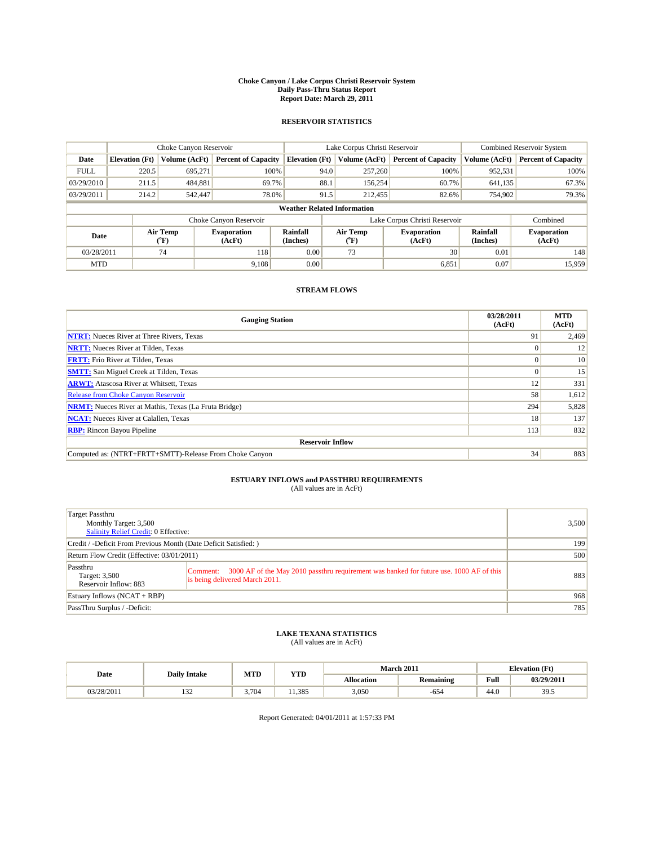#### **Choke Canyon / Lake Corpus Christi Reservoir System Daily Pass-Thru Status Report Report Date: March 29, 2011**

### **RESERVOIR STATISTICS**

|             | Choke Canyon Reservoir             |                  |                              |                       | Lake Corpus Christi Reservoir |                  |                               |                      | <b>Combined Reservoir System</b> |  |  |
|-------------|------------------------------------|------------------|------------------------------|-----------------------|-------------------------------|------------------|-------------------------------|----------------------|----------------------------------|--|--|
| Date        | <b>Elevation</b> (Ft)              | Volume (AcFt)    | <b>Percent of Capacity</b>   | <b>Elevation</b> (Ft) |                               | Volume (AcFt)    | <b>Percent of Capacity</b>    | Volume (AcFt)        | <b>Percent of Capacity</b>       |  |  |
| <b>FULL</b> | 220.5                              | 695,271          | 100%                         |                       | 94.0                          | 257,260          | 100%                          | 952,531              | 100%                             |  |  |
| 03/29/2010  | 211.5                              | 484,881          | 69.7%                        |                       | 88.1                          | 156,254          | 60.7%                         | 641,135              | 67.3%                            |  |  |
| 03/29/2011  | 214.2                              | 542,447          | 78.0%                        |                       | 91.5                          | 212,455          | 82.6%                         | 754,902              | 79.3%                            |  |  |
|             | <b>Weather Related Information</b> |                  |                              |                       |                               |                  |                               |                      |                                  |  |  |
|             |                                    |                  | Choke Canyon Reservoir       |                       |                               |                  | Lake Corpus Christi Reservoir |                      | Combined                         |  |  |
| Date        |                                    | Air Temp<br>(°F) | <b>Evaporation</b><br>(AcFt) | Rainfall<br>(Inches)  |                               | Air Temp<br>("F) | <b>Evaporation</b><br>(AcFt)  | Rainfall<br>(Inches) | <b>Evaporation</b><br>(AcFt)     |  |  |
| 03/28/2011  |                                    | 74               | 118                          | 0.00                  |                               | 73               | 30                            | 0.01                 | 148                              |  |  |
| <b>MTD</b>  |                                    |                  | 9,108                        | 0.00                  |                               |                  | 6,851                         | 0.07                 | 15.959                           |  |  |

## **STREAM FLOWS**

| <b>Gauging Station</b>                                       | 03/28/2011<br>(AcFt) | <b>MTD</b><br>(AcFt) |
|--------------------------------------------------------------|----------------------|----------------------|
| <b>NTRT:</b> Nueces River at Three Rivers, Texas             | 91                   | 2,469                |
| <b>NRTT:</b> Nueces River at Tilden, Texas                   | $\Omega$             | 12                   |
| <b>FRTT:</b> Frio River at Tilden, Texas                     |                      | 10                   |
| <b>SMTT:</b> San Miguel Creek at Tilden, Texas               | $\Omega$             | 15                   |
| <b>ARWT:</b> Atascosa River at Whitsett, Texas               | 12                   | 331                  |
| <b>Release from Choke Canyon Reservoir</b>                   | 58                   | 1,612                |
| <b>NRMT:</b> Nueces River at Mathis, Texas (La Fruta Bridge) | 294                  | 5,828                |
| <b>NCAT:</b> Nueces River at Calallen, Texas                 | 18                   | 137                  |
| <b>RBP:</b> Rincon Bayou Pipeline                            | 113                  | 832                  |
| <b>Reservoir Inflow</b>                                      |                      |                      |
| Computed as: (NTRT+FRTT+SMTT)-Release From Choke Canyon      | 34                   | 883                  |

## **ESTUARY INFLOWS and PASSTHRU REQUIREMENTS**<br>(All values are in AcFt)

| Target Passthru<br>Monthly Target: 3,500<br>Salinity Relief Credit: 0 Effective: |                                                                                                                                       | 3,500 |
|----------------------------------------------------------------------------------|---------------------------------------------------------------------------------------------------------------------------------------|-------|
| Credit / -Deficit From Previous Month (Date Deficit Satisfied: )                 |                                                                                                                                       | 199   |
| Return Flow Credit (Effective: 03/01/2011)                                       | 500                                                                                                                                   |       |
| Passthru<br>Target: 3,500<br>Reservoir Inflow: 883                               | 3000 AF of the May 2010 passthru requirement was banked for future use, 1000 AF of this<br>Comment:<br>is being delivered March 2011. | 883   |
| Estuary Inflows $(NCAT + RBP)$                                                   |                                                                                                                                       | 968   |
| PassThru Surplus / -Deficit:                                                     |                                                                                                                                       | 785   |

## **LAKE TEXANA STATISTICS** (All values are in AcFt)

| Date       | <b>Daily Intake</b> | MTD   | <b>YTD</b> |            | March 2011 | <b>Elevation</b> (Ft)                              |            |
|------------|---------------------|-------|------------|------------|------------|----------------------------------------------------|------------|
|            |                     |       |            | Allocation | Remaining  | <b>Full</b><br>the contract of the contract of the | 03/29/2011 |
| 03/28/2011 | $\sim$<br>154       | 3.704 | 1.385      | 3,050      | -654       | 44.0                                               | 39.5       |

Report Generated: 04/01/2011 at 1:57:33 PM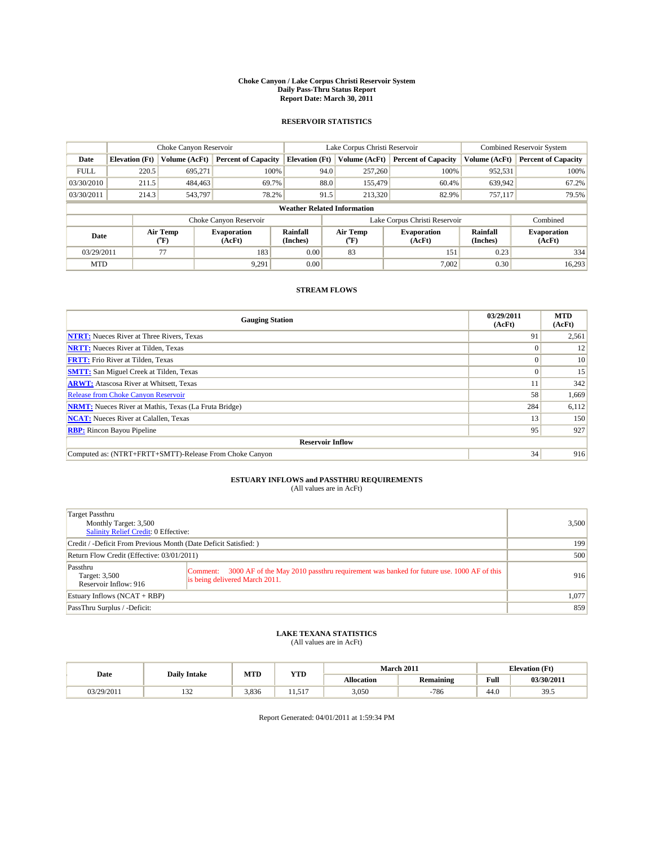#### **Choke Canyon / Lake Corpus Christi Reservoir System Daily Pass-Thru Status Report Report Date: March 30, 2011**

### **RESERVOIR STATISTICS**

|             | Choke Canyon Reservoir             |                  |                              |                       | Lake Corpus Christi Reservoir |                  |                               |                      | <b>Combined Reservoir System</b> |  |  |
|-------------|------------------------------------|------------------|------------------------------|-----------------------|-------------------------------|------------------|-------------------------------|----------------------|----------------------------------|--|--|
| Date        | <b>Elevation</b> (Ft)              | Volume (AcFt)    | <b>Percent of Capacity</b>   | <b>Elevation</b> (Ft) |                               | Volume (AcFt)    | <b>Percent of Capacity</b>    | Volume (AcFt)        | <b>Percent of Capacity</b>       |  |  |
| <b>FULL</b> | 220.5                              | 695.271          | 100%                         |                       | 94.0                          | 257,260          | 100%                          | 952,531              | 100%                             |  |  |
| 03/30/2010  | 211.5                              | 484,463          | 69.7%                        |                       | 88.0                          | 155,479          | 60.4%                         | 639,942              | 67.2%                            |  |  |
| 03/30/2011  | 214.3                              | 543,797          | 78.2%                        |                       | 91.5                          | 213,320          | 82.9%                         | 757,117              | 79.5%                            |  |  |
|             | <b>Weather Related Information</b> |                  |                              |                       |                               |                  |                               |                      |                                  |  |  |
|             |                                    |                  | Choke Canyon Reservoir       |                       |                               |                  | Lake Corpus Christi Reservoir |                      | Combined                         |  |  |
| Date        |                                    | Air Temp<br>(°F) | <b>Evaporation</b><br>(AcFt) | Rainfall<br>(Inches)  |                               | Air Temp<br>("F) | <b>Evaporation</b><br>(AcFt)  | Rainfall<br>(Inches) | <b>Evaporation</b><br>(AcFt)     |  |  |
| 03/29/2011  |                                    | 77               | 183                          | 0.00                  |                               | 83               | 151                           | 0.23                 | 334                              |  |  |
| <b>MTD</b>  |                                    |                  | 9.291                        | 0.00                  |                               |                  | 7,002                         | 0.30                 | 16,293                           |  |  |

## **STREAM FLOWS**

| <b>Gauging Station</b>                                       | 03/29/2011<br>(AcFt) | <b>MTD</b><br>(AcFt) |
|--------------------------------------------------------------|----------------------|----------------------|
| <b>NTRT:</b> Nueces River at Three Rivers, Texas             | 91                   | 2,561                |
| <b>NRTT:</b> Nueces River at Tilden, Texas                   | $\Omega$             | 12                   |
| <b>FRTT:</b> Frio River at Tilden, Texas                     |                      | 10                   |
| <b>SMTT:</b> San Miguel Creek at Tilden, Texas               | $\Omega$             | 15                   |
| <b>ARWT:</b> Atascosa River at Whitsett, Texas               |                      | 342                  |
| <b>Release from Choke Canyon Reservoir</b>                   | 58                   | 1,669                |
| <b>NRMT:</b> Nueces River at Mathis, Texas (La Fruta Bridge) | 284                  | 6,112                |
| <b>NCAT:</b> Nueces River at Calallen, Texas                 | 13                   | 150                  |
| <b>RBP:</b> Rincon Bayou Pipeline                            | 95                   | 927                  |
| <b>Reservoir Inflow</b>                                      |                      |                      |
| Computed as: (NTRT+FRTT+SMTT)-Release From Choke Canyon      | 34                   | 916                  |

## **ESTUARY INFLOWS and PASSTHRU REQUIREMENTS**<br>(All values are in AcFt)

| Target Passthru<br>Monthly Target: 3,500<br><b>Salinity Relief Credit: 0 Effective:</b> |                                                                                                                                       | 3,500 |
|-----------------------------------------------------------------------------------------|---------------------------------------------------------------------------------------------------------------------------------------|-------|
| Credit / -Deficit From Previous Month (Date Deficit Satisfied: )                        | 199                                                                                                                                   |       |
| Return Flow Credit (Effective: 03/01/2011)                                              | 500                                                                                                                                   |       |
| Passthru<br>Target: 3,500<br>Reservoir Inflow: 916                                      | 3000 AF of the May 2010 passthru requirement was banked for future use. 1000 AF of this<br>Comment:<br>is being delivered March 2011. | 916   |
| Estuary Inflows $(NCAT + RBP)$                                                          |                                                                                                                                       | 1,077 |
| PassThru Surplus / -Deficit:                                                            |                                                                                                                                       | 859   |

## **LAKE TEXANA STATISTICS** (All values are in AcFt)

| Date       | <b>Daily Intake</b> | MTD   | <b>YTD</b> |            | March 2011       | <b>Elevation</b> (Ft) |            |
|------------|---------------------|-------|------------|------------|------------------|-----------------------|------------|
|            |                     |       |            | Allocation | <b>Remaining</b> | Full                  | 03/30/2011 |
| 03/29/2011 | $\sim$<br>1.JZ      | 3.836 | $-1$<br>.  | 3,050      | 786              | $\sqrt{ }$<br>44.0    | 39.5       |

Report Generated: 04/01/2011 at 1:59:34 PM